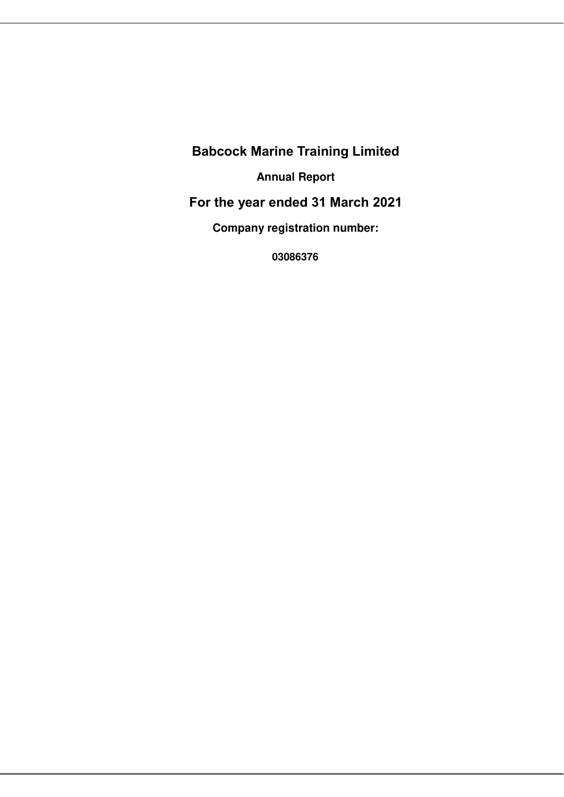**Babcock Marine Training Limited Annual Report For the year ended 31 March 2021 Company registration number:** 

**03086376**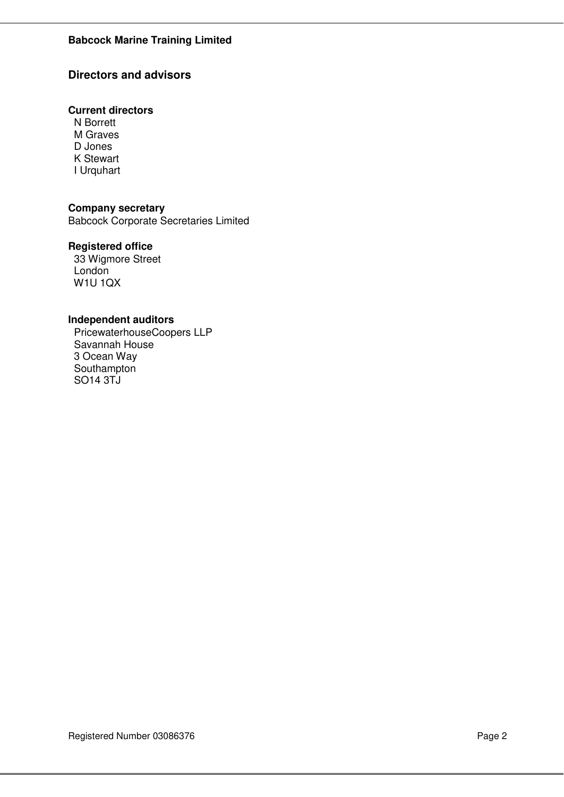## **Directors and advisors**

## **Current directors**

 N Borrett M Graves D Jones K Stewart I Urquhart

## **Company secretary**

Babcock Corporate Secretaries Limited

## **Registered office**

 33 Wigmore Street London W1U 1QX

### **Independent auditors**

 PricewaterhouseCoopers LLP Savannah House 3 Ocean Way Southampton SO14 3TJ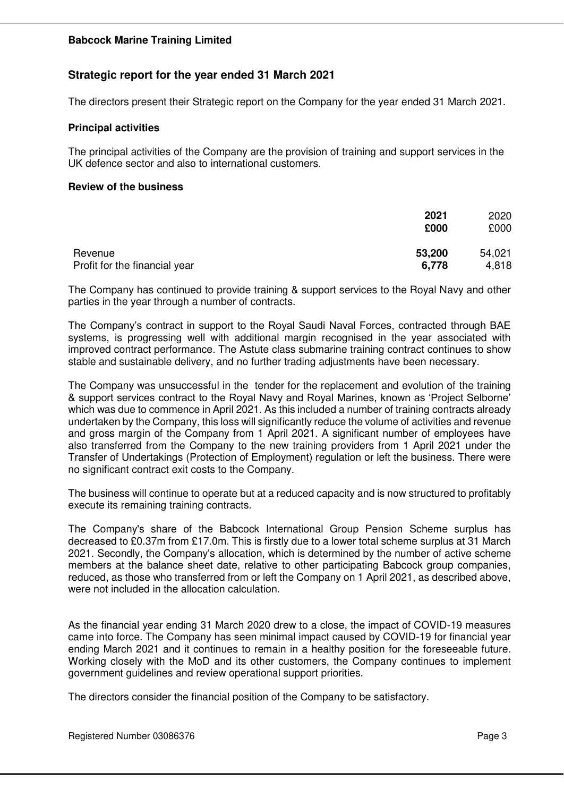## **Strategic report for the year ended 31 March 2021**

The directors present their Strategic report on the Company for the year ended 31 March 2021.

#### **Principal activities**

The principal activities of the Company are the provision of training and support services in the UK defence sector and also to international customers.

#### **Review of the business**

|                               | 2021<br>£000 | 2020<br>£000 |
|-------------------------------|--------------|--------------|
| Revenue                       | 53,200       | 54,021       |
| Profit for the financial year | 6,778        | 4,818        |

The Company has continued to provide training & support services to the Royal Navy and other parties in the year through a number of contracts.

The Company's contract in support to the Royal Saudi Naval Forces, contracted through BAE systems, is progressing well with additional margin recognised in the year associated with improved contract performance. The Astute class submarine training contract continues to show stable and sustainable delivery, and no further trading adjustments have been necessary.

The Company was unsuccessful in the tender for the replacement and evolution of the training & support services contract to the Royal Navy and Royal Marines, known as 'Project Selborne' which was due to commence in April 2021. As this included a number of training contracts already undertaken by the Company, this loss will significantly reduce the volume of activities and revenue and gross margin of the Company from 1 April 2021. A significant number of employees have also transferred from the Company to the new training providers from 1 April 2021 under the Transfer of Undertakings (Protection of Employment) regulation or left the business. There were no significant contract exit costs to the Company.

The business will continue to operate but at a reduced capacity and is now structured to profitably execute its remaining training contracts.

The Company's share of the Babcock International Group Pension Scheme surplus has decreased to £0.37m from £17.0m. This is firstly due to a lower total scheme surplus at 31 March 2021. Secondly, the Company's allocation, which is determined by the number of active scheme members at the balance sheet date, relative to other participating Babcock group companies, reduced, as those who transferred from or left the Company on 1 April 2021, as described above, were not included in the allocation calculation.

As the financial year ending 31 March 2020 drew to a close, the impact of COVID-19 measures came into force. The Company has seen minimal impact caused by COVID-19 for financial year ending March 2021 and it continues to remain in a healthy position for the foreseeable future. Working closely with the MoD and its other customers, the Company continues to implement government guidelines and review operational support priorities.

The directors consider the financial position of the Company to be satisfactory.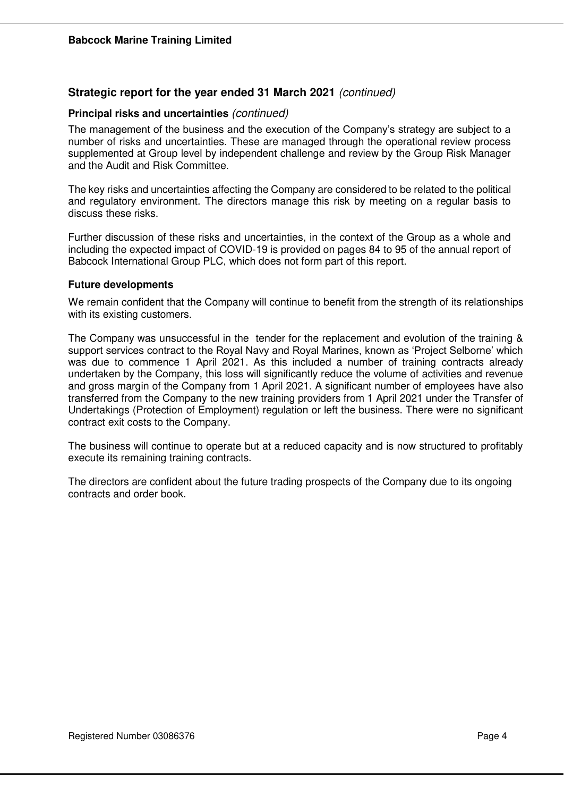## **Strategic report for the year ended 31 March 2021** *(continued)*

## **Principal risks and uncertainties** *(continued)*

The management of the business and the execution of the Company's strategy are subject to a number of risks and uncertainties. These are managed through the operational review process supplemented at Group level by independent challenge and review by the Group Risk Manager and the Audit and Risk Committee.

The key risks and uncertainties affecting the Company are considered to be related to the political and regulatory environment. The directors manage this risk by meeting on a regular basis to discuss these risks.

Further discussion of these risks and uncertainties, in the context of the Group as a whole and including the expected impact of COVID-19 is provided on pages 84 to 95 of the annual report of Babcock International Group PLC, which does not form part of this report.

### **Future developments**

We remain confident that the Company will continue to benefit from the strength of its relationships with its existing customers.

The Company was unsuccessful in the tender for the replacement and evolution of the training & support services contract to the Royal Navy and Royal Marines, known as 'Project Selborne' which was due to commence 1 April 2021. As this included a number of training contracts already undertaken by the Company, this loss will significantly reduce the volume of activities and revenue and gross margin of the Company from 1 April 2021. A significant number of employees have also transferred from the Company to the new training providers from 1 April 2021 under the Transfer of Undertakings (Protection of Employment) regulation or left the business. There were no significant contract exit costs to the Company.

The business will continue to operate but at a reduced capacity and is now structured to profitably execute its remaining training contracts.

The directors are confident about the future trading prospects of the Company due to its ongoing contracts and order book.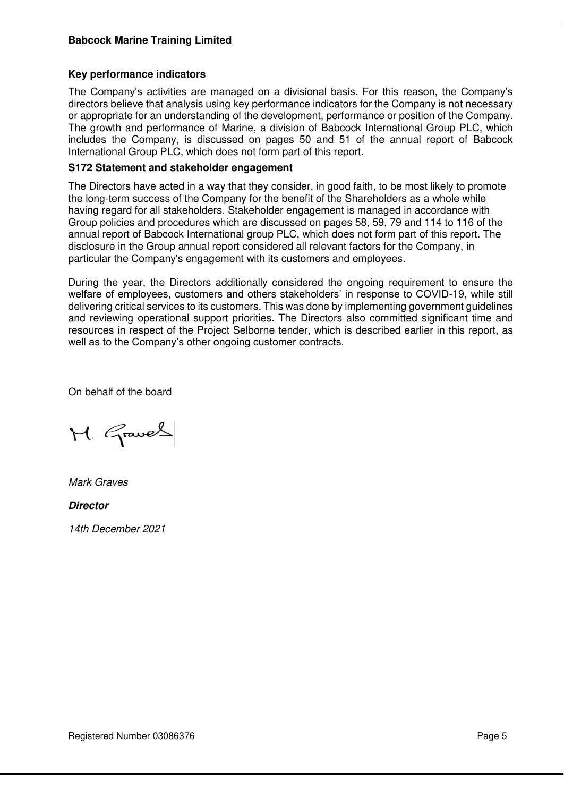#### **Key performance indicators**

The Company's activities are managed on a divisional basis. For this reason, the Company's directors believe that analysis using key performance indicators for the Company is not necessary or appropriate for an understanding of the development, performance or position of the Company. The growth and performance of Marine, a division of Babcock International Group PLC, which includes the Company, is discussed on pages 50 and 51 of the annual report of Babcock International Group PLC, which does not form part of this report.

### **S172 Statement and stakeholder engagement**

The Directors have acted in a way that they consider, in good faith, to be most likely to promote the long-term success of the Company for the benefit of the Shareholders as a whole while having regard for all stakeholders. Stakeholder engagement is managed in accordance with Group policies and procedures which are discussed on pages 58, 59, 79 and 114 to 116 of the annual report of Babcock International group PLC, which does not form part of this report. The disclosure in the Group annual report considered all relevant factors for the Company, in particular the Company's engagement with its customers and employees.

During the year, the Directors additionally considered the ongoing requirement to ensure the welfare of employees, customers and others stakeholders' in response to COVID-19, while still delivering critical services to its customers. This was done by implementing government guidelines and reviewing operational support priorities. The Directors also committed significant time and resources in respect of the Project Selborne tender, which is described earlier in this report, as well as to the Company's other ongoing customer contracts.

On behalf of the board

M. Graves

*Mark Graves* 

**Director**

*14th December 2021*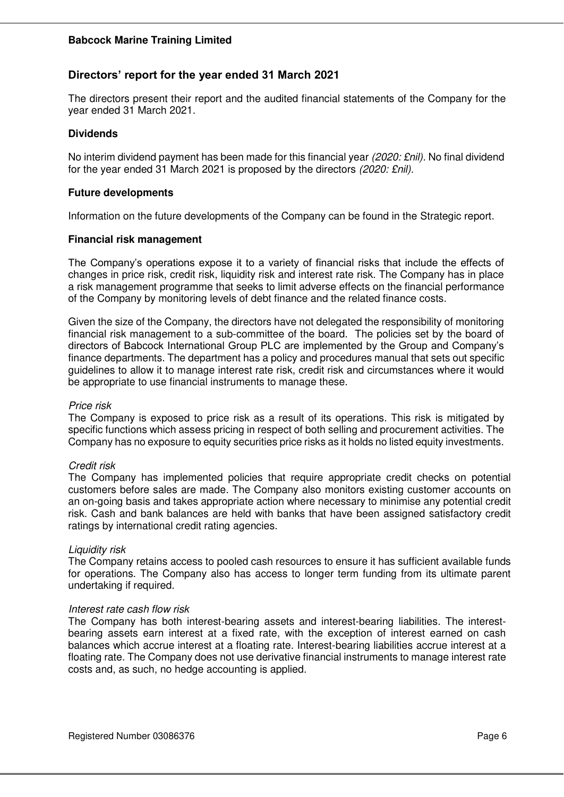## **Directors' report for the year ended 31 March 2021**

The directors present their report and the audited financial statements of the Company for the year ended 31 March 2021.

### **Dividends**

No interim dividend payment has been made for this financial year *(2020: £nil).* No final dividend for the year ended 31 March 2021 is proposed by the directors *(2020: £nil).*

#### **Future developments**

Information on the future developments of the Company can be found in the Strategic report.

### **Financial risk management**

The Company's operations expose it to a variety of financial risks that include the effects of changes in price risk, credit risk, liquidity risk and interest rate risk. The Company has in place a risk management programme that seeks to limit adverse effects on the financial performance of the Company by monitoring levels of debt finance and the related finance costs.

Given the size of the Company, the directors have not delegated the responsibility of monitoring financial risk management to a sub-committee of the board. The policies set by the board of directors of Babcock International Group PLC are implemented by the Group and Company's finance departments. The department has a policy and procedures manual that sets out specific guidelines to allow it to manage interest rate risk, credit risk and circumstances where it would be appropriate to use financial instruments to manage these.

#### *Price risk*

The Company is exposed to price risk as a result of its operations. This risk is mitigated by specific functions which assess pricing in respect of both selling and procurement activities. The Company has no exposure to equity securities price risks as it holds no listed equity investments.

#### *Credit risk*

The Company has implemented policies that require appropriate credit checks on potential customers before sales are made. The Company also monitors existing customer accounts on an on-going basis and takes appropriate action where necessary to minimise any potential credit risk. Cash and bank balances are held with banks that have been assigned satisfactory credit ratings by international credit rating agencies.

#### *Liquidity risk*

The Company retains access to pooled cash resources to ensure it has sufficient available funds for operations. The Company also has access to longer term funding from its ultimate parent undertaking if required.

#### *Interest rate cash flow risk*

The Company has both interest-bearing assets and interest-bearing liabilities. The interestbearing assets earn interest at a fixed rate, with the exception of interest earned on cash balances which accrue interest at a floating rate. Interest-bearing liabilities accrue interest at a floating rate. The Company does not use derivative financial instruments to manage interest rate costs and, as such, no hedge accounting is applied.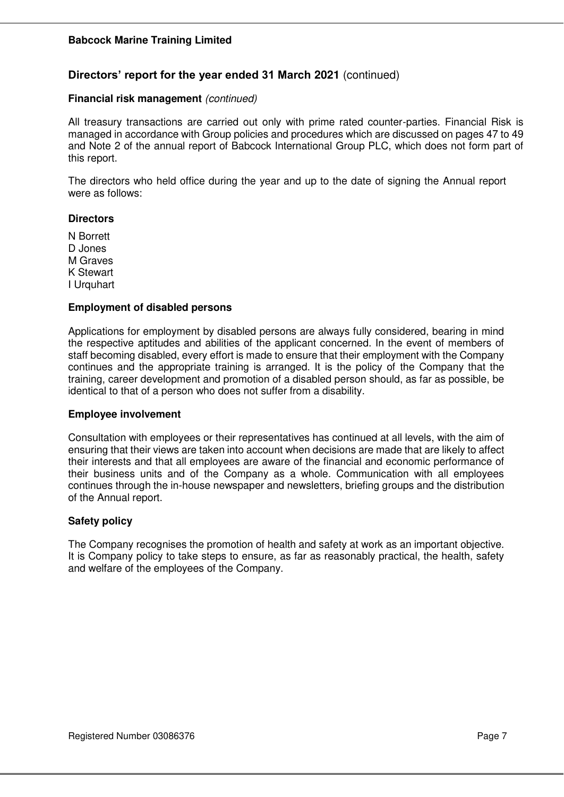## **Directors' report for the year ended 31 March 2021** (continued)

#### **Financial risk management** *(continued)*

All treasury transactions are carried out only with prime rated counter-parties. Financial Risk is managed in accordance with Group policies and procedures which are discussed on pages 47 to 49 and Note 2 of the annual report of Babcock International Group PLC, which does not form part of this report.

The directors who held office during the year and up to the date of signing the Annual report were as follows:

#### **Directors**

N Borrett D Jones M Graves K Stewart I Urquhart

#### **Employment of disabled persons**

Applications for employment by disabled persons are always fully considered, bearing in mind the respective aptitudes and abilities of the applicant concerned. In the event of members of staff becoming disabled, every effort is made to ensure that their employment with the Company continues and the appropriate training is arranged. It is the policy of the Company that the training, career development and promotion of a disabled person should, as far as possible, be identical to that of a person who does not suffer from a disability.

#### **Employee involvement**

Consultation with employees or their representatives has continued at all levels, with the aim of ensuring that their views are taken into account when decisions are made that are likely to affect their interests and that all employees are aware of the financial and economic performance of their business units and of the Company as a whole. Communication with all employees continues through the in-house newspaper and newsletters, briefing groups and the distribution of the Annual report.

#### **Safety policy**

The Company recognises the promotion of health and safety at work as an important objective. It is Company policy to take steps to ensure, as far as reasonably practical, the health, safety and welfare of the employees of the Company.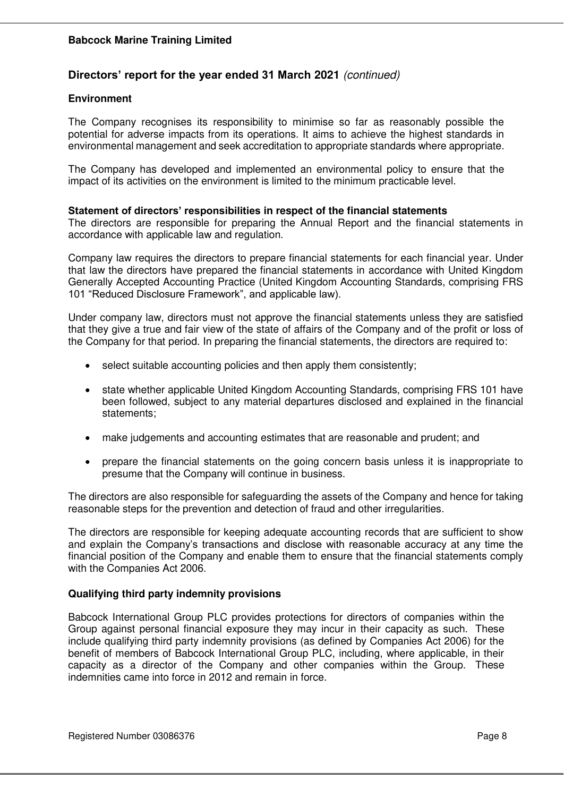## **Directors' report for the year ended 31 March 2021** *(continued)*

#### **Environment**

The Company recognises its responsibility to minimise so far as reasonably possible the potential for adverse impacts from its operations. It aims to achieve the highest standards in environmental management and seek accreditation to appropriate standards where appropriate.

The Company has developed and implemented an environmental policy to ensure that the impact of its activities on the environment is limited to the minimum practicable level.

### **Statement of directors' responsibilities in respect of the financial statements**

The directors are responsible for preparing the Annual Report and the financial statements in accordance with applicable law and regulation.

Company law requires the directors to prepare financial statements for each financial year. Under that law the directors have prepared the financial statements in accordance with United Kingdom Generally Accepted Accounting Practice (United Kingdom Accounting Standards, comprising FRS 101 "Reduced Disclosure Framework", and applicable law).

Under company law, directors must not approve the financial statements unless they are satisfied that they give a true and fair view of the state of affairs of the Company and of the profit or loss of the Company for that period. In preparing the financial statements, the directors are required to:

- select suitable accounting policies and then apply them consistently;
- state whether applicable United Kingdom Accounting Standards, comprising FRS 101 have been followed, subject to any material departures disclosed and explained in the financial statements;
- make judgements and accounting estimates that are reasonable and prudent; and
- prepare the financial statements on the going concern basis unless it is inappropriate to presume that the Company will continue in business.

The directors are also responsible for safeguarding the assets of the Company and hence for taking reasonable steps for the prevention and detection of fraud and other irregularities.

The directors are responsible for keeping adequate accounting records that are sufficient to show and explain the Company's transactions and disclose with reasonable accuracy at any time the financial position of the Company and enable them to ensure that the financial statements comply with the Companies Act 2006.

## **Qualifying third party indemnity provisions**

Babcock International Group PLC provides protections for directors of companies within the Group against personal financial exposure they may incur in their capacity as such. These include qualifying third party indemnity provisions (as defined by Companies Act 2006) for the benefit of members of Babcock International Group PLC, including, where applicable, in their capacity as a director of the Company and other companies within the Group. These indemnities came into force in 2012 and remain in force.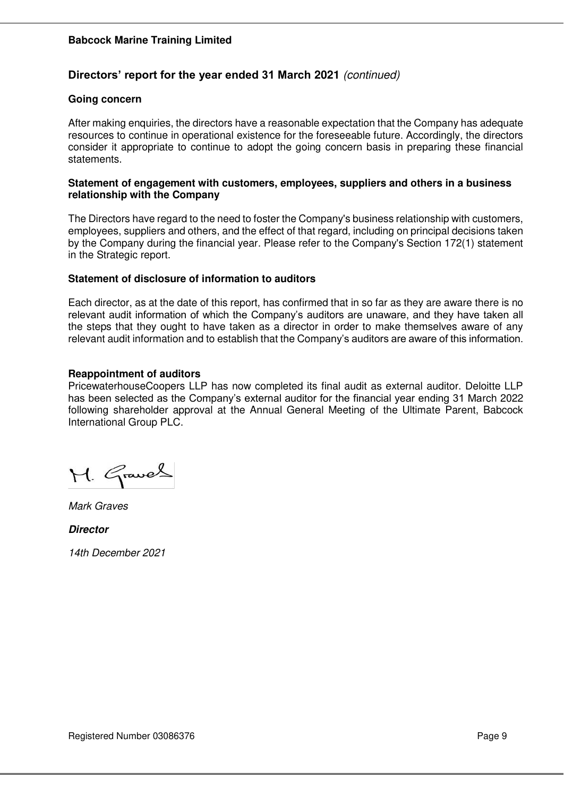## **Directors' report for the year ended 31 March 2021** *(continued)*

#### **Going concern**

After making enquiries, the directors have a reasonable expectation that the Company has adequate resources to continue in operational existence for the foreseeable future. Accordingly, the directors consider it appropriate to continue to adopt the going concern basis in preparing these financial statements.

#### **Statement of engagement with customers, employees, suppliers and others in a business relationship with the Company**

The Directors have regard to the need to foster the Company's business relationship with customers, employees, suppliers and others, and the effect of that regard, including on principal decisions taken by the Company during the financial year. Please refer to the Company's Section 172(1) statement in the Strategic report.

#### **Statement of disclosure of information to auditors**

Each director, as at the date of this report, has confirmed that in so far as they are aware there is no relevant audit information of which the Company's auditors are unaware, and they have taken all the steps that they ought to have taken as a director in order to make themselves aware of any relevant audit information and to establish that the Company's auditors are aware of this information.

#### **Reappointment of auditors**

PricewaterhouseCoopers LLP has now completed its final audit as external auditor. Deloitte LLP has been selected as the Company's external auditor for the financial year ending 31 March 2022 following shareholder approval at the Annual General Meeting of the Ultimate Parent, Babcock International Group PLC.

M. Graves

*Mark Graves* 

**Director**

*14th December 2021*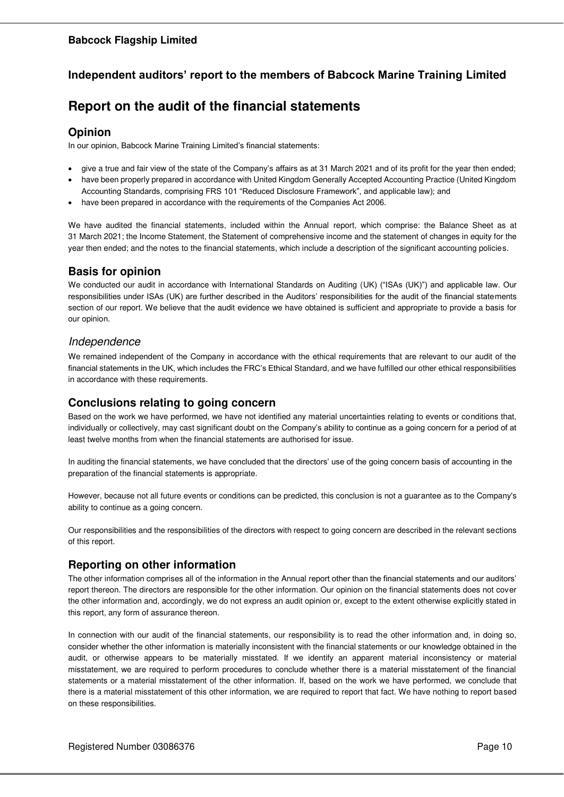### **Babcock Flagship Limited**

## **Independent auditors' report to the members of Babcock Marine Training Limited**

# **Report on the audit of the financial statements**

#### **Opinion**

In our opinion, Babcock Marine Training Limited's financial statements:

- give a true and fair view of the state of the Company's affairs as at 31 March 2021 and of its profit for the year then ended;
- have been properly prepared in accordance with United Kingdom Generally Accepted Accounting Practice (United Kingdom Accounting Standards, comprising FRS 101 "Reduced Disclosure Framework", and applicable law); and
- have been prepared in accordance with the requirements of the Companies Act 2006.

We have audited the financial statements, included within the Annual report, which comprise: the Balance Sheet as at 31 March 2021; the Income Statement, the Statement of comprehensive income and the statement of changes in equity for the year then ended; and the notes to the financial statements, which include a description of the significant accounting policies.

## **Basis for opinion**

We conducted our audit in accordance with International Standards on Auditing (UK) ("ISAs (UK)") and applicable law. Our responsibilities under ISAs (UK) are further described in the Auditors' responsibilities for the audit of the financial statements section of our report. We believe that the audit evidence we have obtained is sufficient and appropriate to provide a basis for our opinion.

## *Independence*

We remained independent of the Company in accordance with the ethical requirements that are relevant to our audit of the financial statements in the UK, which includes the FRC's Ethical Standard, and we have fulfilled our other ethical responsibilities in accordance with these requirements.

## **Conclusions relating to going concern**

Based on the work we have performed, we have not identified any material uncertainties relating to events or conditions that, individually or collectively, may cast significant doubt on the Company's ability to continue as a going concern for a period of at least twelve months from when the financial statements are authorised for issue.

In auditing the financial statements, we have concluded that the directors' use of the going concern basis of accounting in the preparation of the financial statements is appropriate.

However, because not all future events or conditions can be predicted, this conclusion is not a guarantee as to the Company's ability to continue as a going concern.

Our responsibilities and the responsibilities of the directors with respect to going concern are described in the relevant sections of this report.

## **Reporting on other information**

The other information comprises all of the information in the Annual report other than the financial statements and our auditors' report thereon. The directors are responsible for the other information. Our opinion on the financial statements does not cover the other information and, accordingly, we do not express an audit opinion or, except to the extent otherwise explicitly stated in this report, any form of assurance thereon.

In connection with our audit of the financial statements, our responsibility is to read the other information and, in doing so, consider whether the other information is materially inconsistent with the financial statements or our knowledge obtained in the audit, or otherwise appears to be materially misstated. If we identify an apparent material inconsistency or material misstatement, we are required to perform procedures to conclude whether there is a material misstatement of the financial statements or a material misstatement of the other information. If, based on the work we have performed, we conclude that there is a material misstatement of this other information, we are required to report that fact. We have nothing to report based on these responsibilities.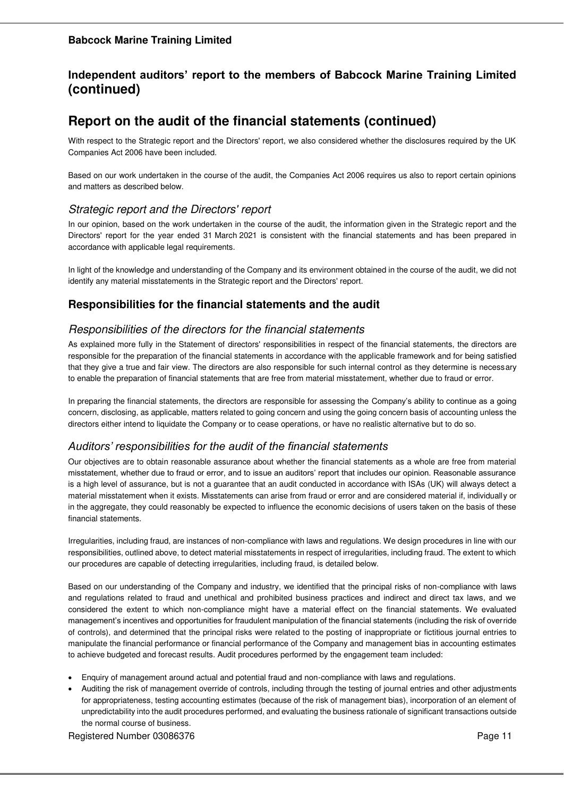## **Independent auditors' report to the members of Babcock Marine Training Limited (continued)**

# **Report on the audit of the financial statements (continued)**

With respect to the Strategic report and the Directors' report, we also considered whether the disclosures required by the UK Companies Act 2006 have been included.

Based on our work undertaken in the course of the audit, the Companies Act 2006 requires us also to report certain opinions and matters as described below.

## *Strategic report and the Directors' report*

In our opinion, based on the work undertaken in the course of the audit, the information given in the Strategic report and the Directors' report for the year ended 31 March 2021 is consistent with the financial statements and has been prepared in accordance with applicable legal requirements.

In light of the knowledge and understanding of the Company and its environment obtained in the course of the audit, we did not identify any material misstatements in the Strategic report and the Directors' report.

## **Responsibilities for the financial statements and the audit**

## *Responsibilities of the directors for the financial statements*

As explained more fully in the Statement of directors' responsibilities in respect of the financial statements, the directors are responsible for the preparation of the financial statements in accordance with the applicable framework and for being satisfied that they give a true and fair view. The directors are also responsible for such internal control as they determine is necessary to enable the preparation of financial statements that are free from material misstatement, whether due to fraud or error.

In preparing the financial statements, the directors are responsible for assessing the Company's ability to continue as a going concern, disclosing, as applicable, matters related to going concern and using the going concern basis of accounting unless the directors either intend to liquidate the Company or to cease operations, or have no realistic alternative but to do so.

## *Auditors' responsibilities for the audit of the financial statements*

Our objectives are to obtain reasonable assurance about whether the financial statements as a whole are free from material misstatement, whether due to fraud or error, and to issue an auditors' report that includes our opinion. Reasonable assurance is a high level of assurance, but is not a guarantee that an audit conducted in accordance with ISAs (UK) will always detect a material misstatement when it exists. Misstatements can arise from fraud or error and are considered material if, individually or in the aggregate, they could reasonably be expected to influence the economic decisions of users taken on the basis of these financial statements.

Irregularities, including fraud, are instances of non-compliance with laws and regulations. We design procedures in line with our responsibilities, outlined above, to detect material misstatements in respect of irregularities, including fraud. The extent to which our procedures are capable of detecting irregularities, including fraud, is detailed below.

Based on our understanding of the Company and industry, we identified that the principal risks of non-compliance with laws and regulations related to fraud and unethical and prohibited business practices and indirect and direct tax laws, and we considered the extent to which non-compliance might have a material effect on the financial statements. We evaluated management's incentives and opportunities for fraudulent manipulation of the financial statements (including the risk of override of controls), and determined that the principal risks were related to the posting of inappropriate or fictitious journal entries to manipulate the financial performance or financial performance of the Company and management bias in accounting estimates to achieve budgeted and forecast results. Audit procedures performed by the engagement team included:

- Enquiry of management around actual and potential fraud and non-compliance with laws and regulations.
- Auditing the risk of management override of controls, including through the testing of journal entries and other adjustments for appropriateness, testing accounting estimates (because of the risk of management bias), incorporation of an element of unpredictability into the audit procedures performed, and evaluating the business rationale of significant transactions outside the normal course of business.

Registered Number 03086376 Page 11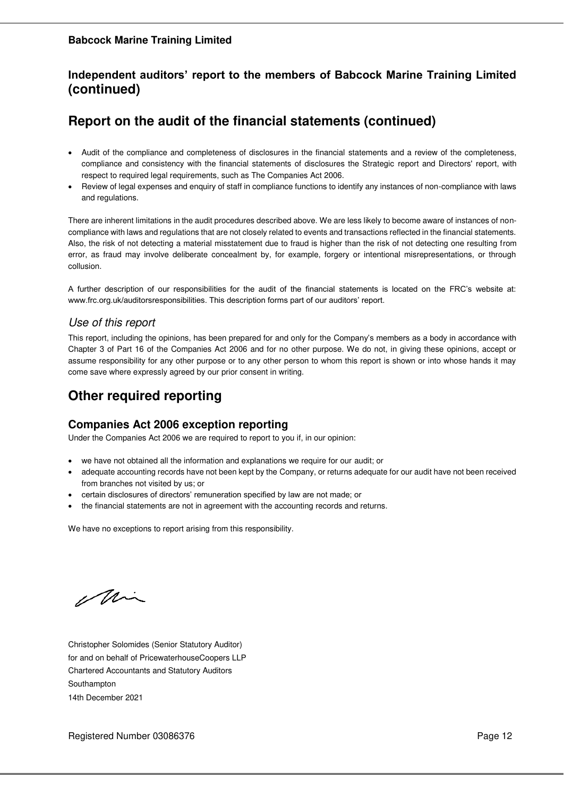## **Independent auditors' report to the members of Babcock Marine Training Limited (continued)**

# **Report on the audit of the financial statements (continued)**

- Audit of the compliance and completeness of disclosures in the financial statements and a review of the completeness, compliance and consistency with the financial statements of disclosures the Strategic report and Directors' report, with respect to required legal requirements, such as The Companies Act 2006.
- Review of legal expenses and enquiry of staff in compliance functions to identify any instances of non-compliance with laws and regulations.

There are inherent limitations in the audit procedures described above. We are less likely to become aware of instances of noncompliance with laws and regulations that are not closely related to events and transactions reflected in the financial statements. Also, the risk of not detecting a material misstatement due to fraud is higher than the risk of not detecting one resulting from error, as fraud may involve deliberate concealment by, for example, forgery or intentional misrepresentations, or through collusion.

A further description of our responsibilities for the audit of the financial statements is located on the FRC's website at: www.frc.org.uk/auditorsresponsibilities. This description forms part of our auditors' report.

## *Use of this report*

This report, including the opinions, has been prepared for and only for the Company's members as a body in accordance with Chapter 3 of Part 16 of the Companies Act 2006 and for no other purpose. We do not, in giving these opinions, accept or assume responsibility for any other purpose or to any other person to whom this report is shown or into whose hands it may come save where expressly agreed by our prior consent in writing.

# **Other required reporting**

## **Companies Act 2006 exception reporting**

Under the Companies Act 2006 we are required to report to you if, in our opinion:

- we have not obtained all the information and explanations we require for our audit; or
- adequate accounting records have not been kept by the Company, or returns adequate for our audit have not been received from branches not visited by us; or
- certain disclosures of directors' remuneration specified by law are not made; or
- the financial statements are not in agreement with the accounting records and returns.

We have no exceptions to report arising from this responsibility.

Min

Christopher Solomides (Senior Statutory Auditor) for and on behalf of PricewaterhouseCoopers LLP Chartered Accountants and Statutory Auditors Southampton 14th December 2021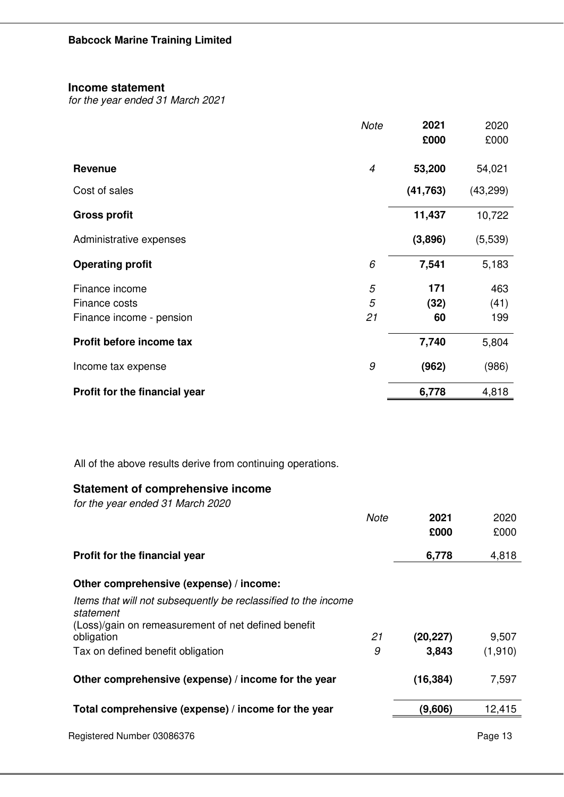### **Income statement**

*for the year ended 31 March 2021*

|                               | <b>Note</b>    | 2021      | 2020      |
|-------------------------------|----------------|-----------|-----------|
|                               |                | £000      | £000      |
| <b>Revenue</b>                | $\overline{4}$ | 53,200    | 54,021    |
| Cost of sales                 |                | (41, 763) | (43, 299) |
| <b>Gross profit</b>           |                | 11,437    | 10,722    |
| Administrative expenses       |                | (3,896)   | (5,539)   |
| <b>Operating profit</b>       | 6              | 7,541     | 5,183     |
| Finance income                | 5              | 171       | 463       |
| Finance costs                 | 5              | (32)      | (41)      |
| Finance income - pension      | 21             | 60        | 199       |
| Profit before income tax      |                | 7,740     | 5,804     |
| Income tax expense            | 9              | (962)     | (986)     |
| Profit for the financial year |                | 6,778     | 4,818     |

All of the above results derive from continuing operations.

## **Statement of comprehensive income**

*for the year ended 31 March 2020* 

|                                                                             | Note | 2021<br>£000 | 2020<br>£000 |
|-----------------------------------------------------------------------------|------|--------------|--------------|
| Profit for the financial year                                               |      | 6,778        | 4,818        |
| Other comprehensive (expense) / income:                                     |      |              |              |
| Items that will not subsequently be reclassified to the income<br>statement |      |              |              |
| (Loss)/gain on remeasurement of net defined benefit<br>obligation           | 21   | (20, 227)    | 9,507        |
| Tax on defined benefit obligation                                           | 9    | 3,843        | (1,910)      |
| Other comprehensive (expense) / income for the year                         |      | (16, 384)    | 7,597        |
| Total comprehensive (expense) / income for the year                         |      | (9,606)      | 12,415       |
| Registered Number 03086376                                                  |      |              | Page 13      |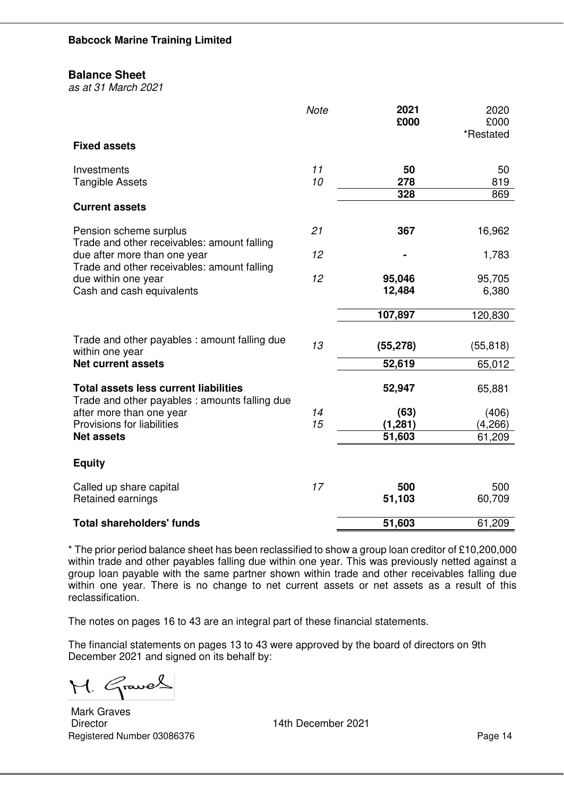#### **Balance Sheet**

*as at 31 March 2021*

|                                                                                                | <b>Note</b> | 2021<br>£000 | 2020<br>£000<br>*Restated |
|------------------------------------------------------------------------------------------------|-------------|--------------|---------------------------|
| <b>Fixed assets</b>                                                                            |             |              |                           |
| Investments                                                                                    | 11          | 50           | 50                        |
| <b>Tangible Assets</b>                                                                         | 10          | 278<br>328   | 819<br>869                |
| <b>Current assets</b>                                                                          |             |              |                           |
| Pension scheme surplus<br>Trade and other receivables: amount falling                          | 21          | 367          | 16,962                    |
| due after more than one year<br>Trade and other receivables: amount falling                    | 12          |              | 1,783                     |
| due within one year                                                                            | 12          | 95,046       | 95,705                    |
| Cash and cash equivalents                                                                      |             | 12,484       | 6,380                     |
|                                                                                                |             | 107,897      | 120,830                   |
| Trade and other payables : amount falling due<br>within one year                               | 13          | (55, 278)    | (55, 818)                 |
| <b>Net current assets</b>                                                                      |             | 52,619       | 65,012                    |
| <b>Total assets less current liabilities</b><br>Trade and other payables : amounts falling due |             | 52,947       | 65,881                    |
| after more than one year                                                                       | 14          | (63)         | (406)                     |
| Provisions for liabilities                                                                     | 15          | (1, 281)     | (4,266)                   |
| <b>Net assets</b>                                                                              |             | 51,603       | 61,209                    |
| <b>Equity</b>                                                                                  |             |              |                           |
| Called up share capital                                                                        | 17          | 500          | 500                       |
| Retained earnings                                                                              |             | 51,103       | 60,709                    |
| <b>Total shareholders' funds</b>                                                               |             | 51,603       | 61,209                    |

\* The prior period balance sheet has been reclassified to show a group loan creditor of £10,200,000 within trade and other payables falling due within one year. This was previously netted against a group loan payable with the same partner shown within trade and other receivables falling due within one year. There is no change to net current assets or net assets as a result of this reclassification.

The notes on pages 16 to 43 are an integral part of these financial statements.

The financial statements on pages 13 to 43 were approved by the board of directors on 9th December 2021 and signed on its behalf by:

M. Graves

Registered Number 03086376 Page 14 Mark Graves Director 14th December 2021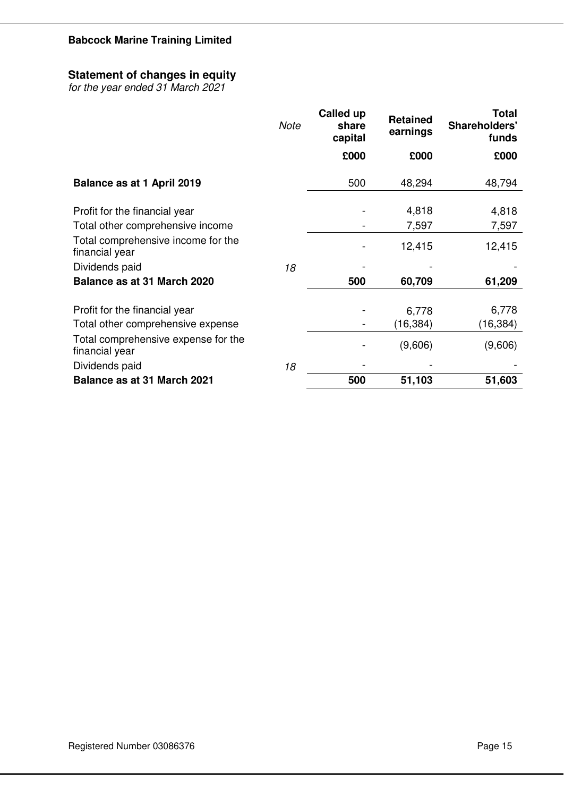## **Statement of changes in equity**

*for the year ended 31 March 2021*

|                                                       | <b>Note</b> | <b>Called up</b><br>share<br>capital | <b>Retained</b><br>earnings | <b>Total</b><br>Shareholders'<br>funds |
|-------------------------------------------------------|-------------|--------------------------------------|-----------------------------|----------------------------------------|
|                                                       |             | £000                                 | £000                        | £000                                   |
| Balance as at 1 April 2019                            |             | 500                                  | 48,294                      | 48,794                                 |
| Profit for the financial year                         |             |                                      | 4,818                       | 4,818                                  |
| Total other comprehensive income                      |             |                                      | 7,597                       | 7,597                                  |
| Total comprehensive income for the<br>financial year  |             |                                      | 12,415                      | 12,415                                 |
| Dividends paid                                        | 18          |                                      |                             |                                        |
| Balance as at 31 March 2020                           |             | 500                                  | 60,709                      | 61,209                                 |
|                                                       |             |                                      |                             |                                        |
| Profit for the financial year                         |             |                                      | 6,778                       | 6,778                                  |
| Total other comprehensive expense                     |             |                                      | (16, 384)                   | (16, 384)                              |
| Total comprehensive expense for the<br>financial year |             |                                      | (9,606)                     | (9,606)                                |
| Dividends paid                                        | 18          |                                      |                             |                                        |
| Balance as at 31 March 2021                           |             | 500                                  | 51,103                      | 51,603                                 |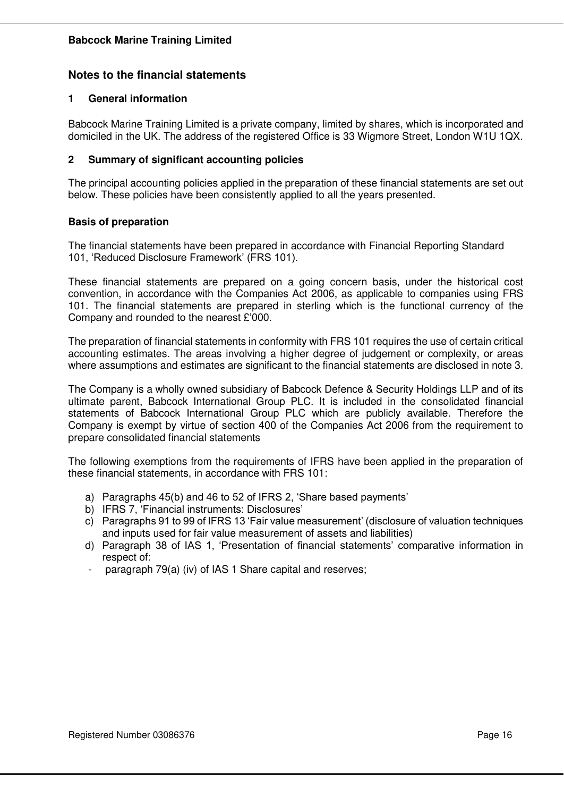## **Notes to the financial statements**

### **1 General information**

Babcock Marine Training Limited is a private company, limited by shares, which is incorporated and domiciled in the UK. The address of the registered Office is 33 Wigmore Street, London W1U 1QX.

### **2 Summary of significant accounting policies**

The principal accounting policies applied in the preparation of these financial statements are set out below. These policies have been consistently applied to all the years presented.

### **Basis of preparation**

The financial statements have been prepared in accordance with Financial Reporting Standard 101, 'Reduced Disclosure Framework' (FRS 101).

These financial statements are prepared on a going concern basis, under the historical cost convention, in accordance with the Companies Act 2006, as applicable to companies using FRS 101. The financial statements are prepared in sterling which is the functional currency of the Company and rounded to the nearest £'000.

The preparation of financial statements in conformity with FRS 101 requires the use of certain critical accounting estimates. The areas involving a higher degree of judgement or complexity, or areas where assumptions and estimates are significant to the financial statements are disclosed in note 3.

The Company is a wholly owned subsidiary of Babcock Defence & Security Holdings LLP and of its ultimate parent, Babcock International Group PLC. It is included in the consolidated financial statements of Babcock International Group PLC which are publicly available. Therefore the Company is exempt by virtue of section 400 of the Companies Act 2006 from the requirement to prepare consolidated financial statements

The following exemptions from the requirements of IFRS have been applied in the preparation of these financial statements, in accordance with FRS 101:

- a) Paragraphs 45(b) and 46 to 52 of IFRS 2, 'Share based payments'
- b) IFRS 7, 'Financial instruments: Disclosures'
- c) Paragraphs 91 to 99 of IFRS 13 'Fair value measurement' (disclosure of valuation techniques and inputs used for fair value measurement of assets and liabilities)
- d) Paragraph 38 of IAS 1, 'Presentation of financial statements' comparative information in respect of:
- paragraph 79(a) (iv) of IAS 1 Share capital and reserves;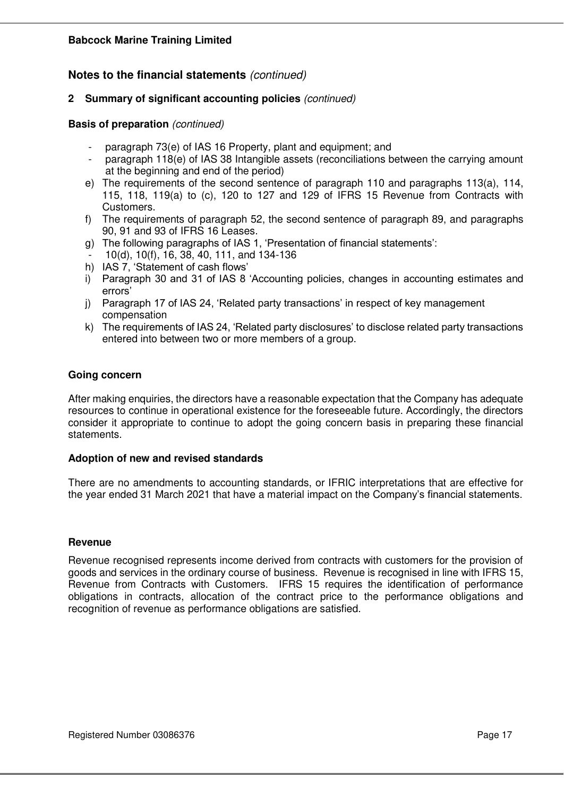## **Notes to the financial statements** *(continued)*

### **2 Summary of significant accounting policies** *(continued)*

#### **Basis of preparation** *(continued)*

- paragraph 73(e) of IAS 16 Property, plant and equipment; and
- paragraph 118(e) of IAS 38 Intangible assets (reconciliations between the carrying amount at the beginning and end of the period)
- e) The requirements of the second sentence of paragraph 110 and paragraphs 113(a), 114, 115, 118, 119(a) to (c), 120 to 127 and 129 of IFRS 15 Revenue from Contracts with Customers.
- f) The requirements of paragraph 52, the second sentence of paragraph 89, and paragraphs 90, 91 and 93 of IFRS 16 Leases.
- g) The following paragraphs of IAS 1, 'Presentation of financial statements':
- 10(d), 10(f), 16, 38, 40, 111, and 134-136
- h) IAS 7, 'Statement of cash flows'
- i) Paragraph 30 and 31 of IAS 8 'Accounting policies, changes in accounting estimates and errors'
- j) Paragraph 17 of IAS 24, 'Related party transactions' in respect of key management compensation
- k) The requirements of IAS 24, 'Related party disclosures' to disclose related party transactions entered into between two or more members of a group.

### **Going concern**

After making enquiries, the directors have a reasonable expectation that the Company has adequate resources to continue in operational existence for the foreseeable future. Accordingly, the directors consider it appropriate to continue to adopt the going concern basis in preparing these financial statements.

#### **Adoption of new and revised standards**

There are no amendments to accounting standards, or IFRIC interpretations that are effective for the year ended 31 March 2021 that have a material impact on the Company's financial statements.

#### **Revenue**

Revenue recognised represents income derived from contracts with customers for the provision of goods and services in the ordinary course of business. Revenue is recognised in line with IFRS 15, Revenue from Contracts with Customers. IFRS 15 requires the identification of performance obligations in contracts, allocation of the contract price to the performance obligations and recognition of revenue as performance obligations are satisfied.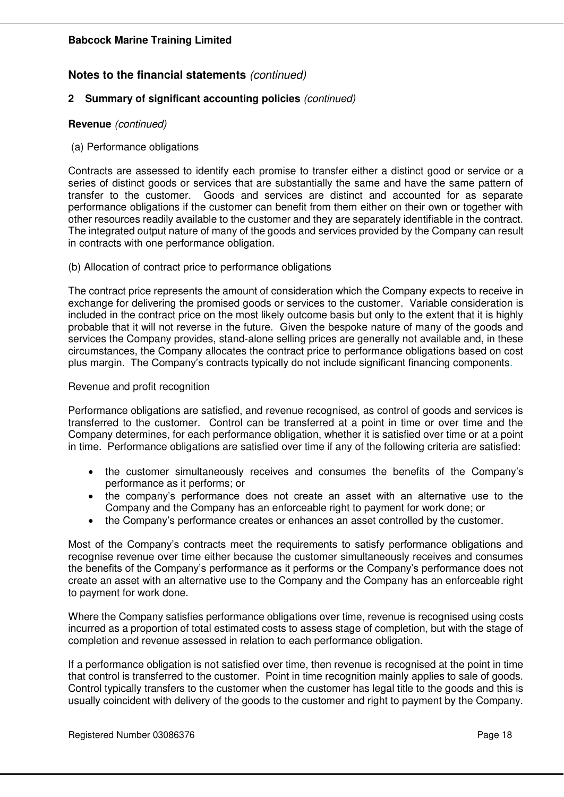## **2 Summary of significant accounting policies** *(continued)*

### **Revenue** *(continued)*

#### (a) Performance obligations

Contracts are assessed to identify each promise to transfer either a distinct good or service or a series of distinct goods or services that are substantially the same and have the same pattern of transfer to the customer. Goods and services are distinct and accounted for as separate performance obligations if the customer can benefit from them either on their own or together with other resources readily available to the customer and they are separately identifiable in the contract. The integrated output nature of many of the goods and services provided by the Company can result in contracts with one performance obligation.

### (b) Allocation of contract price to performance obligations

The contract price represents the amount of consideration which the Company expects to receive in exchange for delivering the promised goods or services to the customer. Variable consideration is included in the contract price on the most likely outcome basis but only to the extent that it is highly probable that it will not reverse in the future. Given the bespoke nature of many of the goods and services the Company provides, stand-alone selling prices are generally not available and, in these circumstances, the Company allocates the contract price to performance obligations based on cost plus margin. The Company's contracts typically do not include significant financing components.

### Revenue and profit recognition

Performance obligations are satisfied, and revenue recognised, as control of goods and services is transferred to the customer. Control can be transferred at a point in time or over time and the Company determines, for each performance obligation, whether it is satisfied over time or at a point in time. Performance obligations are satisfied over time if any of the following criteria are satisfied:

- the customer simultaneously receives and consumes the benefits of the Company's performance as it performs; or
- the company's performance does not create an asset with an alternative use to the Company and the Company has an enforceable right to payment for work done; or
- the Company's performance creates or enhances an asset controlled by the customer.

Most of the Company's contracts meet the requirements to satisfy performance obligations and recognise revenue over time either because the customer simultaneously receives and consumes the benefits of the Company's performance as it performs or the Company's performance does not create an asset with an alternative use to the Company and the Company has an enforceable right to payment for work done.

Where the Company satisfies performance obligations over time, revenue is recognised using costs incurred as a proportion of total estimated costs to assess stage of completion, but with the stage of completion and revenue assessed in relation to each performance obligation.

If a performance obligation is not satisfied over time, then revenue is recognised at the point in time that control is transferred to the customer. Point in time recognition mainly applies to sale of goods. Control typically transfers to the customer when the customer has legal title to the goods and this is usually coincident with delivery of the goods to the customer and right to payment by the Company.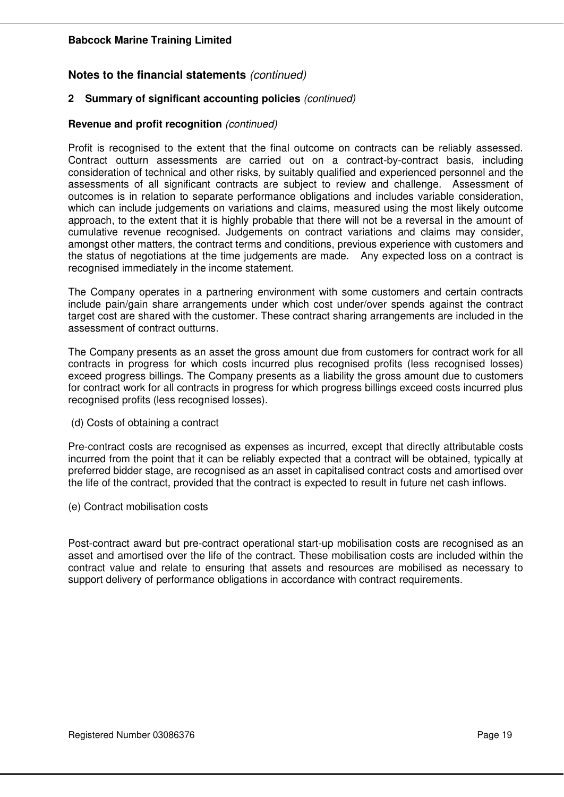## **Notes to the financial statements** *(continued)*

### **2 Summary of significant accounting policies** *(continued)*

#### **Revenue and profit recognition** *(continued)*

Profit is recognised to the extent that the final outcome on contracts can be reliably assessed. Contract outturn assessments are carried out on a contract-by-contract basis, including consideration of technical and other risks, by suitably qualified and experienced personnel and the assessments of all significant contracts are subject to review and challenge. Assessment of outcomes is in relation to separate performance obligations and includes variable consideration, which can include judgements on variations and claims, measured using the most likely outcome approach, to the extent that it is highly probable that there will not be a reversal in the amount of cumulative revenue recognised. Judgements on contract variations and claims may consider, amongst other matters, the contract terms and conditions, previous experience with customers and the status of negotiations at the time judgements are made. Any expected loss on a contract is recognised immediately in the income statement.

The Company operates in a partnering environment with some customers and certain contracts include pain/gain share arrangements under which cost under/over spends against the contract target cost are shared with the customer. These contract sharing arrangements are included in the assessment of contract outturns.

The Company presents as an asset the gross amount due from customers for contract work for all contracts in progress for which costs incurred plus recognised profits (less recognised losses) exceed progress billings. The Company presents as a liability the gross amount due to customers for contract work for all contracts in progress for which progress billings exceed costs incurred plus recognised profits (less recognised losses).

(d) Costs of obtaining a contract

Pre-contract costs are recognised as expenses as incurred, except that directly attributable costs incurred from the point that it can be reliably expected that a contract will be obtained, typically at preferred bidder stage, are recognised as an asset in capitalised contract costs and amortised over the life of the contract, provided that the contract is expected to result in future net cash inflows.

(e) Contract mobilisation costs

Post-contract award but pre-contract operational start-up mobilisation costs are recognised as an asset and amortised over the life of the contract. These mobilisation costs are included within the contract value and relate to ensuring that assets and resources are mobilised as necessary to support delivery of performance obligations in accordance with contract requirements.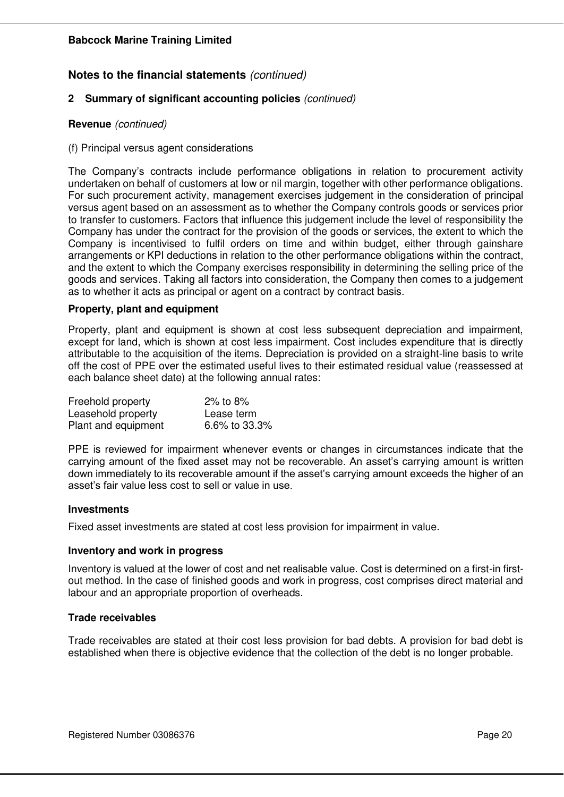## **Notes to the financial statements** *(continued)*

### **2 Summary of significant accounting policies** *(continued)*

#### **Revenue** *(continued)*

#### (f) Principal versus agent considerations

The Company's contracts include performance obligations in relation to procurement activity undertaken on behalf of customers at low or nil margin, together with other performance obligations. For such procurement activity, management exercises judgement in the consideration of principal versus agent based on an assessment as to whether the Company controls goods or services prior to transfer to customers. Factors that influence this judgement include the level of responsibility the Company has under the contract for the provision of the goods or services, the extent to which the Company is incentivised to fulfil orders on time and within budget, either through gainshare arrangements or KPI deductions in relation to the other performance obligations within the contract, and the extent to which the Company exercises responsibility in determining the selling price of the goods and services. Taking all factors into consideration, the Company then comes to a judgement as to whether it acts as principal or agent on a contract by contract basis.

#### **Property, plant and equipment**

Property, plant and equipment is shown at cost less subsequent depreciation and impairment, except for land, which is shown at cost less impairment. Cost includes expenditure that is directly attributable to the acquisition of the items. Depreciation is provided on a straight-line basis to write off the cost of PPE over the estimated useful lives to their estimated residual value (reassessed at each balance sheet date) at the following annual rates:

| Freehold property   | 2% to $8%$    |
|---------------------|---------------|
| Leasehold property  | Lease term    |
| Plant and equipment | 6.6% to 33.3% |

PPE is reviewed for impairment whenever events or changes in circumstances indicate that the carrying amount of the fixed asset may not be recoverable. An asset's carrying amount is written down immediately to its recoverable amount if the asset's carrying amount exceeds the higher of an asset's fair value less cost to sell or value in use.

#### **Investments**

Fixed asset investments are stated at cost less provision for impairment in value.

#### **Inventory and work in progress**

Inventory is valued at the lower of cost and net realisable value. Cost is determined on a first-in firstout method. In the case of finished goods and work in progress, cost comprises direct material and labour and an appropriate proportion of overheads.

#### **Trade receivables**

Trade receivables are stated at their cost less provision for bad debts. A provision for bad debt is established when there is objective evidence that the collection of the debt is no longer probable.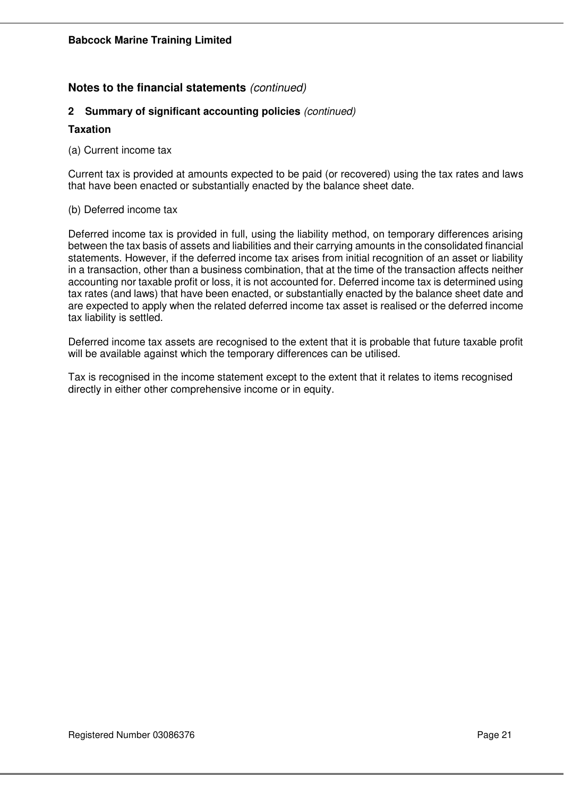## **2 Summary of significant accounting policies** *(continued)*

### **Taxation**

(a) Current income tax

Current tax is provided at amounts expected to be paid (or recovered) using the tax rates and laws that have been enacted or substantially enacted by the balance sheet date.

#### (b) Deferred income tax

Deferred income tax is provided in full, using the liability method, on temporary differences arising between the tax basis of assets and liabilities and their carrying amounts in the consolidated financial statements. However, if the deferred income tax arises from initial recognition of an asset or liability in a transaction, other than a business combination, that at the time of the transaction affects neither accounting nor taxable profit or loss, it is not accounted for. Deferred income tax is determined using tax rates (and laws) that have been enacted, or substantially enacted by the balance sheet date and are expected to apply when the related deferred income tax asset is realised or the deferred income tax liability is settled.

Deferred income tax assets are recognised to the extent that it is probable that future taxable profit will be available against which the temporary differences can be utilised.

Tax is recognised in the income statement except to the extent that it relates to items recognised directly in either other comprehensive income or in equity.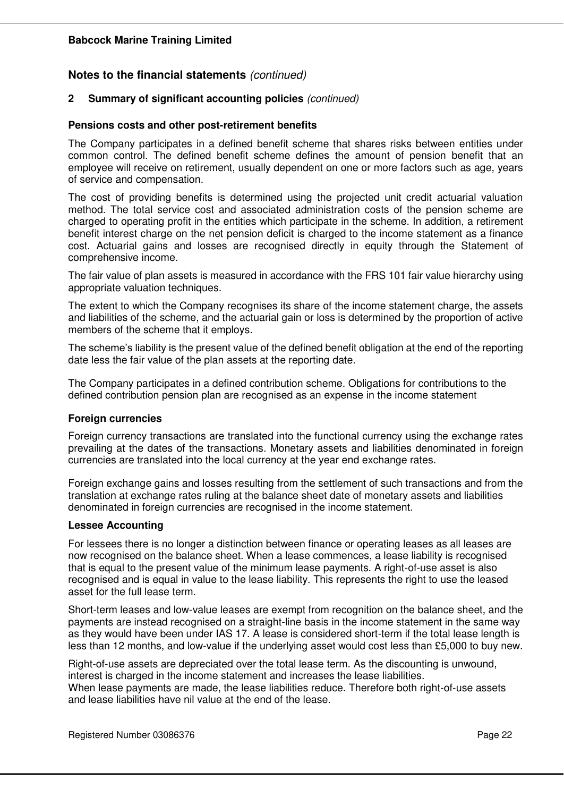## **2 Summary of significant accounting policies** *(continued)*

#### **Pensions costs and other post-retirement benefits**

The Company participates in a defined benefit scheme that shares risks between entities under common control. The defined benefit scheme defines the amount of pension benefit that an employee will receive on retirement, usually dependent on one or more factors such as age, years of service and compensation.

The cost of providing benefits is determined using the projected unit credit actuarial valuation method. The total service cost and associated administration costs of the pension scheme are charged to operating profit in the entities which participate in the scheme. In addition, a retirement benefit interest charge on the net pension deficit is charged to the income statement as a finance cost. Actuarial gains and losses are recognised directly in equity through the Statement of comprehensive income.

The fair value of plan assets is measured in accordance with the FRS 101 fair value hierarchy using appropriate valuation techniques.

The extent to which the Company recognises its share of the income statement charge, the assets and liabilities of the scheme, and the actuarial gain or loss is determined by the proportion of active members of the scheme that it employs.

The scheme's liability is the present value of the defined benefit obligation at the end of the reporting date less the fair value of the plan assets at the reporting date.

The Company participates in a defined contribution scheme. Obligations for contributions to the defined contribution pension plan are recognised as an expense in the income statement

## **Foreign currencies**

Foreign currency transactions are translated into the functional currency using the exchange rates prevailing at the dates of the transactions. Monetary assets and liabilities denominated in foreign currencies are translated into the local currency at the year end exchange rates.

Foreign exchange gains and losses resulting from the settlement of such transactions and from the translation at exchange rates ruling at the balance sheet date of monetary assets and liabilities denominated in foreign currencies are recognised in the income statement.

#### **Lessee Accounting**

For lessees there is no longer a distinction between finance or operating leases as all leases are now recognised on the balance sheet. When a lease commences, a lease liability is recognised that is equal to the present value of the minimum lease payments. A right-of-use asset is also recognised and is equal in value to the lease liability. This represents the right to use the leased asset for the full lease term.

Short-term leases and low-value leases are exempt from recognition on the balance sheet, and the payments are instead recognised on a straight-line basis in the income statement in the same way as they would have been under IAS 17. A lease is considered short-term if the total lease length is less than 12 months, and low-value if the underlying asset would cost less than £5,000 to buy new.

Right-of-use assets are depreciated over the total lease term. As the discounting is unwound, interest is charged in the income statement and increases the lease liabilities. When lease payments are made, the lease liabilities reduce. Therefore both right-of-use assets and lease liabilities have nil value at the end of the lease.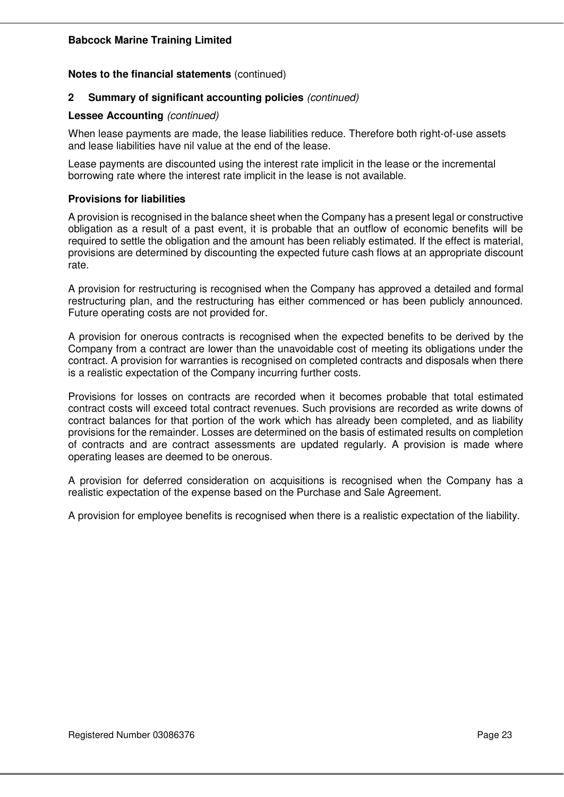#### **Notes to the financial statements** (continued)

#### **2 Summary of significant accounting policies** *(continued)*

#### **Lessee Accounting** *(continued)*

When lease payments are made, the lease liabilities reduce. Therefore both right-of-use assets and lease liabilities have nil value at the end of the lease.

Lease payments are discounted using the interest rate implicit in the lease or the incremental borrowing rate where the interest rate implicit in the lease is not available.

#### **Provisions for liabilities**

A provision is recognised in the balance sheet when the Company has a present legal or constructive obligation as a result of a past event, it is probable that an outflow of economic benefits will be required to settle the obligation and the amount has been reliably estimated. If the effect is material, provisions are determined by discounting the expected future cash flows at an appropriate discount rate.

A provision for restructuring is recognised when the Company has approved a detailed and formal restructuring plan, and the restructuring has either commenced or has been publicly announced. Future operating costs are not provided for.

A provision for onerous contracts is recognised when the expected benefits to be derived by the Company from a contract are lower than the unavoidable cost of meeting its obligations under the contract. A provision for warranties is recognised on completed contracts and disposals when there is a realistic expectation of the Company incurring further costs.

Provisions for losses on contracts are recorded when it becomes probable that total estimated contract costs will exceed total contract revenues. Such provisions are recorded as write downs of contract balances for that portion of the work which has already been completed, and as liability provisions for the remainder. Losses are determined on the basis of estimated results on completion of contracts and are contract assessments are updated regularly. A provision is made where operating leases are deemed to be onerous.

A provision for deferred consideration on acquisitions is recognised when the Company has a realistic expectation of the expense based on the Purchase and Sale Agreement.

A provision for employee benefits is recognised when there is a realistic expectation of the liability.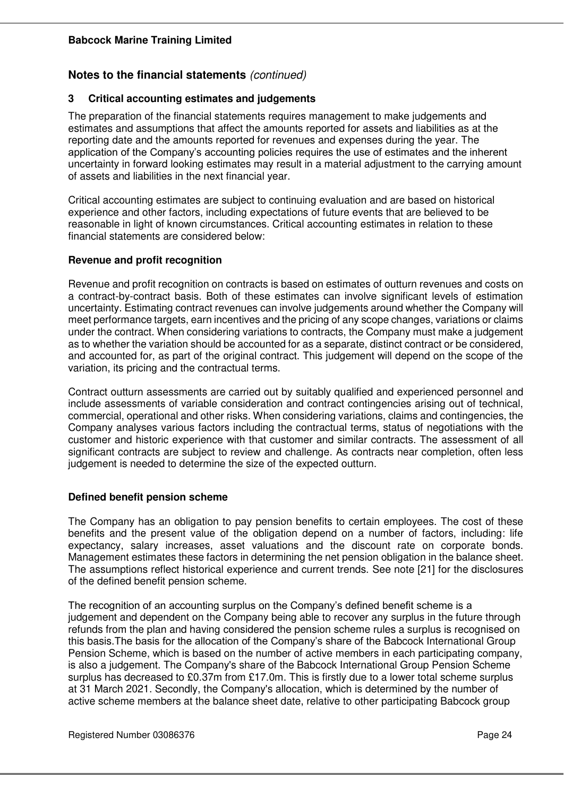## **3 Critical accounting estimates and judgements**

The preparation of the financial statements requires management to make judgements and estimates and assumptions that affect the amounts reported for assets and liabilities as at the reporting date and the amounts reported for revenues and expenses during the year. The application of the Company's accounting policies requires the use of estimates and the inherent uncertainty in forward looking estimates may result in a material adjustment to the carrying amount of assets and liabilities in the next financial year.

Critical accounting estimates are subject to continuing evaluation and are based on historical experience and other factors, including expectations of future events that are believed to be reasonable in light of known circumstances. Critical accounting estimates in relation to these financial statements are considered below:

## **Revenue and profit recognition**

Revenue and profit recognition on contracts is based on estimates of outturn revenues and costs on a contract-by-contract basis. Both of these estimates can involve significant levels of estimation uncertainty. Estimating contract revenues can involve judgements around whether the Company will meet performance targets, earn incentives and the pricing of any scope changes, variations or claims under the contract. When considering variations to contracts, the Company must make a judgement as to whether the variation should be accounted for as a separate, distinct contract or be considered, and accounted for, as part of the original contract. This judgement will depend on the scope of the variation, its pricing and the contractual terms.

Contract outturn assessments are carried out by suitably qualified and experienced personnel and include assessments of variable consideration and contract contingencies arising out of technical, commercial, operational and other risks. When considering variations, claims and contingencies, the Company analyses various factors including the contractual terms, status of negotiations with the customer and historic experience with that customer and similar contracts. The assessment of all significant contracts are subject to review and challenge. As contracts near completion, often less judgement is needed to determine the size of the expected outturn.

## **Defined benefit pension scheme**

The Company has an obligation to pay pension benefits to certain employees. The cost of these benefits and the present value of the obligation depend on a number of factors, including: life expectancy, salary increases, asset valuations and the discount rate on corporate bonds. Management estimates these factors in determining the net pension obligation in the balance sheet. The assumptions reflect historical experience and current trends. See note [21] for the disclosures of the defined benefit pension scheme.

The recognition of an accounting surplus on the Company's defined benefit scheme is a judgement and dependent on the Company being able to recover any surplus in the future through refunds from the plan and having considered the pension scheme rules a surplus is recognised on this basis.The basis for the allocation of the Company's share of the Babcock International Group Pension Scheme, which is based on the number of active members in each participating company, is also a judgement. The Company's share of the Babcock International Group Pension Scheme surplus has decreased to £0.37m from £17.0m. This is firstly due to a lower total scheme surplus at 31 March 2021. Secondly, the Company's allocation, which is determined by the number of active scheme members at the balance sheet date, relative to other participating Babcock group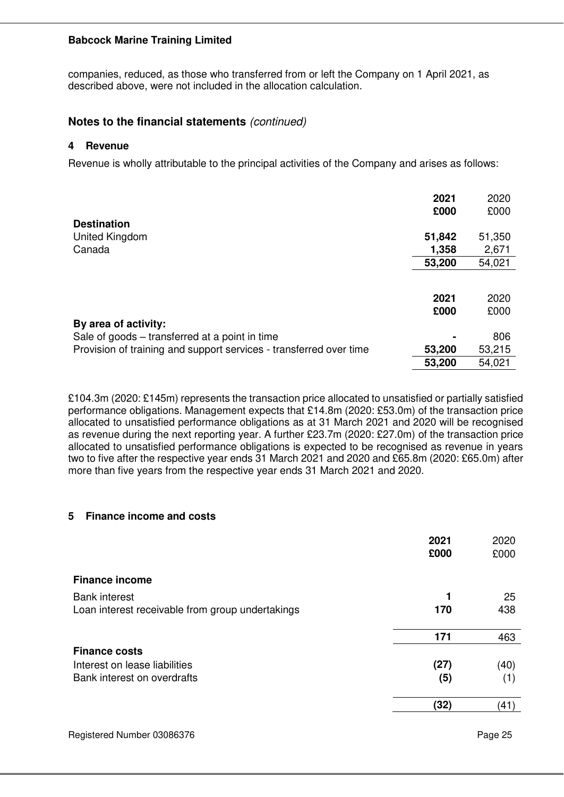companies, reduced, as those who transferred from or left the Company on 1 April 2021, as described above, were not included in the allocation calculation.

## **Notes to the financial statements** *(continued)*

#### **4 Revenue**

Revenue is wholly attributable to the principal activities of the Company and arises as follows:

|                                                                    | 2021   | 2020   |
|--------------------------------------------------------------------|--------|--------|
|                                                                    | £000   | £000   |
| <b>Destination</b>                                                 |        |        |
| United Kingdom                                                     | 51,842 | 51,350 |
| Canada                                                             | 1,358  | 2,671  |
|                                                                    | 53,200 | 54,021 |
|                                                                    |        |        |
|                                                                    | 2021   | 2020   |
|                                                                    | £000   | £000   |
| By area of activity:                                               |        |        |
| Sale of goods – transferred at a point in time                     |        | 806    |
| Provision of training and support services - transferred over time | 53,200 | 53,215 |
|                                                                    | 53,200 | 54,021 |

£104.3m (2020: £145m) represents the transaction price allocated to unsatisfied or partially satisfied performance obligations. Management expects that £14.8m (2020: £53.0m) of the transaction price allocated to unsatisfied performance obligations as at 31 March 2021 and 2020 will be recognised as revenue during the next reporting year. A further £23.7m (2020: £27.0m) of the transaction price allocated to unsatisfied performance obligations is expected to be recognised as revenue in years two to five after the respective year ends 31 March 2021 and 2020 and £65.8m (2020: £65.0m) after more than five years from the respective year ends 31 March 2021 and 2020.

## **5 Finance income and costs**

|                                                  | 2021<br>£000 | 2020<br>£000 |
|--------------------------------------------------|--------------|--------------|
| <b>Finance income</b>                            |              |              |
| <b>Bank interest</b>                             | 1            | 25           |
| Loan interest receivable from group undertakings | 170          | 438          |
|                                                  | 171          | 463          |
| <b>Finance costs</b>                             |              |              |
| Interest on lease liabilities                    | (27)         | (40)         |
| Bank interest on overdrafts                      | (5)          | (1)          |
|                                                  | (32)         | (41          |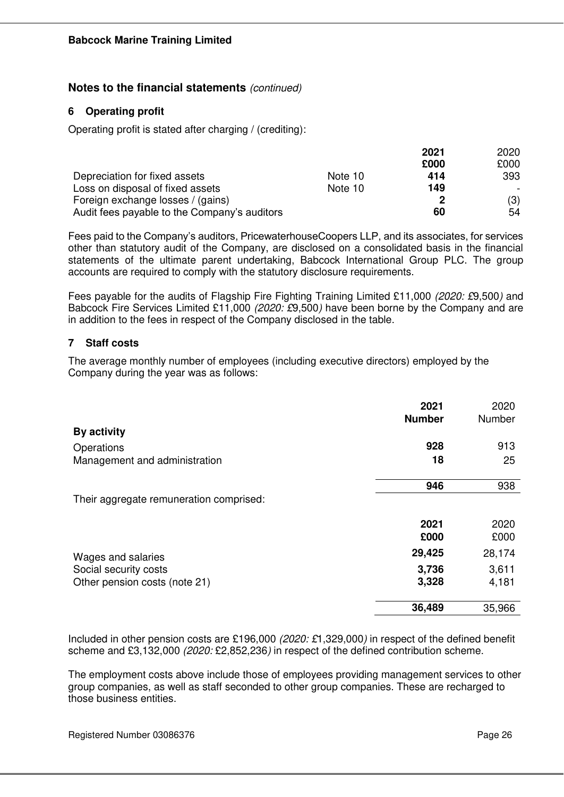## **6 Operating profit**

Operating profit is stated after charging / (crediting):

|                                              |         | 2021 | 2020 |
|----------------------------------------------|---------|------|------|
|                                              |         | £000 | £000 |
| Depreciation for fixed assets                | Note 10 | 414  | 393  |
| Loss on disposal of fixed assets             | Note 10 | 149  |      |
| Foreign exchange losses / (gains)            |         | 2    | (3)  |
| Audit fees payable to the Company's auditors |         | 60   | 54   |

Fees paid to the Company's auditors, PricewaterhouseCoopers LLP, and its associates, for services other than statutory audit of the Company, are disclosed on a consolidated basis in the financial statements of the ultimate parent undertaking, Babcock International Group PLC. The group accounts are required to comply with the statutory disclosure requirements.

Fees payable for the audits of Flagship Fire Fighting Training Limited £11,000 *(2020: £*9,500*)* and Babcock Fire Services Limited £11,000 *(2020: £*9,500*)* have been borne by the Company and are in addition to the fees in respect of the Company disclosed in the table.

## **7 Staff costs**

The average monthly number of employees (including executive directors) employed by the Company during the year was as follows:

|                                         | 2021<br><b>Number</b> | 2020<br>Number |
|-----------------------------------------|-----------------------|----------------|
| By activity                             |                       |                |
| Operations                              | 928                   | 913            |
| Management and administration           | 18                    | 25             |
|                                         | 946                   | 938            |
| Their aggregate remuneration comprised: |                       |                |
|                                         | 2021                  | 2020           |
|                                         | £000                  | £000           |
| Wages and salaries                      | 29,425                | 28,174         |
| Social security costs                   | 3,736                 | 3,611          |
| Other pension costs (note 21)           | 3,328                 | 4,181          |
|                                         | 36,489                | 35,966         |

Included in other pension costs are £196,000 *(2020: £*1,329,000*)* in respect of the defined benefit scheme and £3,132,000 *(2020:* £2,852,236*)* in respect of the defined contribution scheme.

The employment costs above include those of employees providing management services to other group companies, as well as staff seconded to other group companies. These are recharged to those business entities.

Registered Number 03086376 Page 26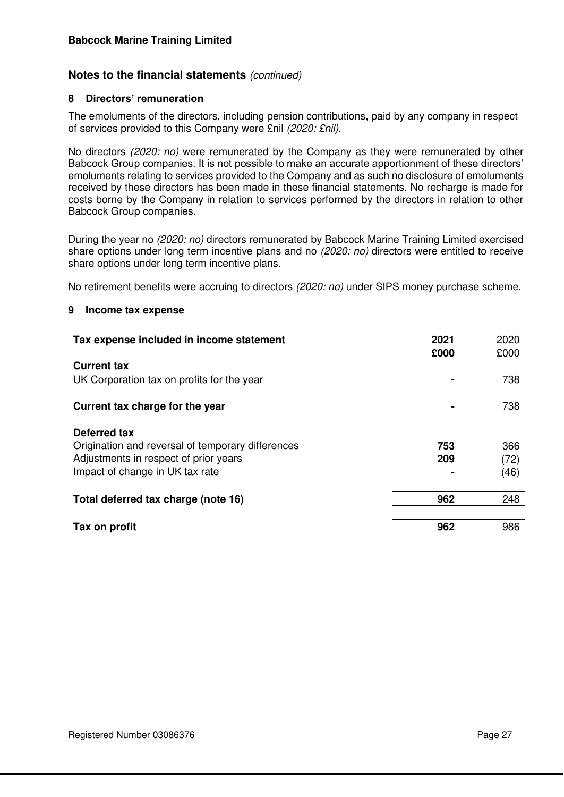## **Notes to the financial statements** *(continued)*

### **8 Directors' remuneration**

The emoluments of the directors, including pension contributions, paid by any company in respect of services provided to this Company were £nil *(2020: £nil).*

No directors *(2020: no)* were remunerated by the Company as they were remunerated by other Babcock Group companies. It is not possible to make an accurate apportionment of these directors' emoluments relating to services provided to the Company and as such no disclosure of emoluments received by these directors has been made in these financial statements. No recharge is made for costs borne by the Company in relation to services performed by the directors in relation to other Babcock Group companies.

During the year no *(2020: no)* directors remunerated by Babcock Marine Training Limited exercised share options under long term incentive plans and no *(2020: no)* directors were entitled to receive share options under long term incentive plans.

No retirement benefits were accruing to directors *(2020: no)* under SIPS money purchase scheme.

#### **9 Income tax expense**

| Tax expense included in income statement          | 2021<br>£000 | 2020<br>£000 |
|---------------------------------------------------|--------------|--------------|
| <b>Current tax</b>                                |              |              |
| UK Corporation tax on profits for the year        |              | 738          |
| Current tax charge for the year                   |              | 738          |
| Deferred tax                                      |              |              |
| Origination and reversal of temporary differences | 753          | 366          |
| Adjustments in respect of prior years             | 209          | (72)         |
| Impact of change in UK tax rate                   |              | (46)         |
| Total deferred tax charge (note 16)               | 962          | 248          |
| Tax on profit                                     | 962          | 986          |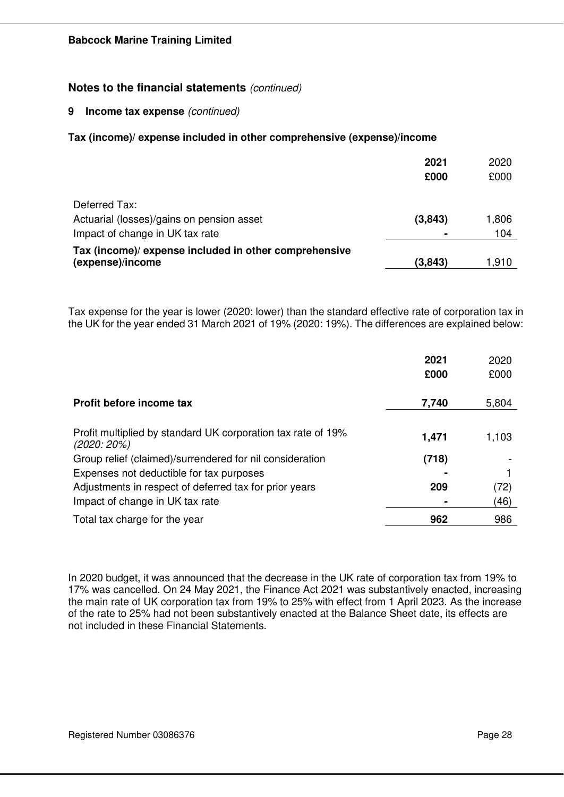### **9 Income tax expense** *(continued)*

### **Tax (income)/ expense included in other comprehensive (expense)/income**

|                                                                           | 2021<br>£000 | 2020<br>£000 |
|---------------------------------------------------------------------------|--------------|--------------|
| Deferred Tax:                                                             |              |              |
| Actuarial (losses)/gains on pension asset                                 | (3,843)      | 1,806        |
| Impact of change in UK tax rate                                           |              | 104          |
| Tax (income)/ expense included in other comprehensive<br>(expense)/income | (3,843)      | 1,910        |
|                                                                           |              |              |

Tax expense for the year is lower (2020: lower) than the standard effective rate of corporation tax in the UK for the year ended 31 March 2021 of 19% (2020: 19%). The differences are explained below:

|                                                                               | 2021  | 2020  |
|-------------------------------------------------------------------------------|-------|-------|
|                                                                               | £000  | £000  |
| Profit before income tax                                                      | 7,740 | 5,804 |
|                                                                               |       |       |
| Profit multiplied by standard UK corporation tax rate of 19%<br>$(2020:20\%)$ | 1,471 | 1,103 |
| Group relief (claimed)/surrendered for nil consideration                      | (718) |       |
| Expenses not deductible for tax purposes                                      |       |       |
| Adjustments in respect of deferred tax for prior years                        | 209   | (72)  |
| Impact of change in UK tax rate                                               |       | (46)  |
| Total tax charge for the year                                                 | 962   | 986   |

In 2020 budget, it was announced that the decrease in the UK rate of corporation tax from 19% to 17% was cancelled. On 24 May 2021, the Finance Act 2021 was substantively enacted, increasing the main rate of UK corporation tax from 19% to 25% with effect from 1 April 2023. As the increase of the rate to 25% had not been substantively enacted at the Balance Sheet date, its effects are not included in these Financial Statements.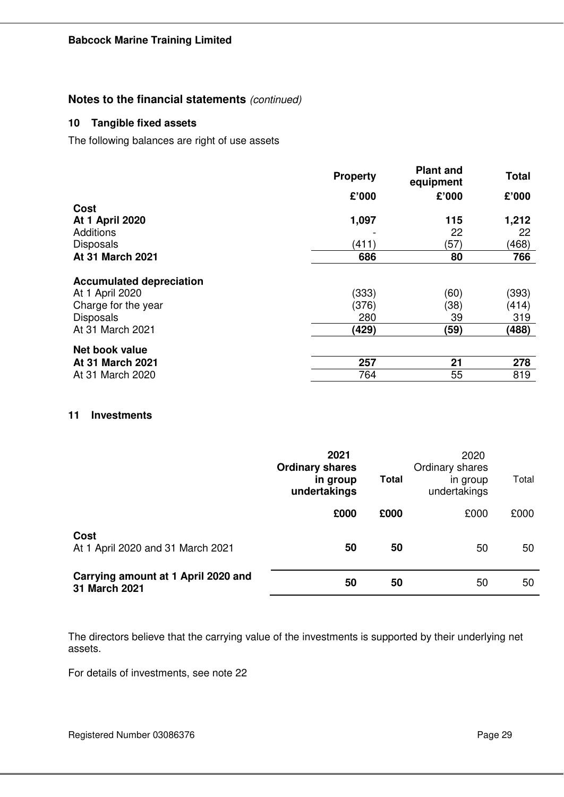## **10 Tangible fixed assets**

The following balances are right of use assets

|                                                                                                                   | <b>Property</b>                | <b>Plant and</b><br>equipment | <b>Total</b>                   |
|-------------------------------------------------------------------------------------------------------------------|--------------------------------|-------------------------------|--------------------------------|
|                                                                                                                   | £'000                          | £'000                         | £'000                          |
| <b>Cost</b>                                                                                                       |                                |                               |                                |
| <b>At 1 April 2020</b>                                                                                            | 1,097                          | 115                           | 1,212                          |
| Additions                                                                                                         |                                | 22                            | 22                             |
| <b>Disposals</b>                                                                                                  | (411)                          | (57)                          | (468)                          |
| At 31 March 2021                                                                                                  | 686                            | 80                            | 766                            |
| <b>Accumulated depreciation</b><br>At 1 April 2020<br>Charge for the year<br><b>Disposals</b><br>At 31 March 2021 | (333)<br>(376)<br>280<br>(429) | (60)<br>(38)<br>39<br>(59)    | (393)<br>(414)<br>319<br>(488) |
| Net book value<br><b>At 31 March 2021</b>                                                                         | 257                            | 21                            | 278                            |
| At 31 March 2020                                                                                                  | 764                            | 55                            | 819                            |
|                                                                                                                   |                                |                               |                                |

## **11 Investments**

|                                                      | 2021<br><b>Ordinary shares</b><br>in group<br>undertakings | <b>Total</b> | 2020<br>Ordinary shares<br>in group<br>undertakings | Total |
|------------------------------------------------------|------------------------------------------------------------|--------------|-----------------------------------------------------|-------|
|                                                      | £000                                                       | £000         | £000                                                | £000  |
| <b>Cost</b><br>At 1 April 2020 and 31 March 2021     | 50                                                         | 50           | 50                                                  | 50    |
| Carrying amount at 1 April 2020 and<br>31 March 2021 | 50                                                         | 50           | 50                                                  | 50    |

The directors believe that the carrying value of the investments is supported by their underlying net assets.

For details of investments, see note 22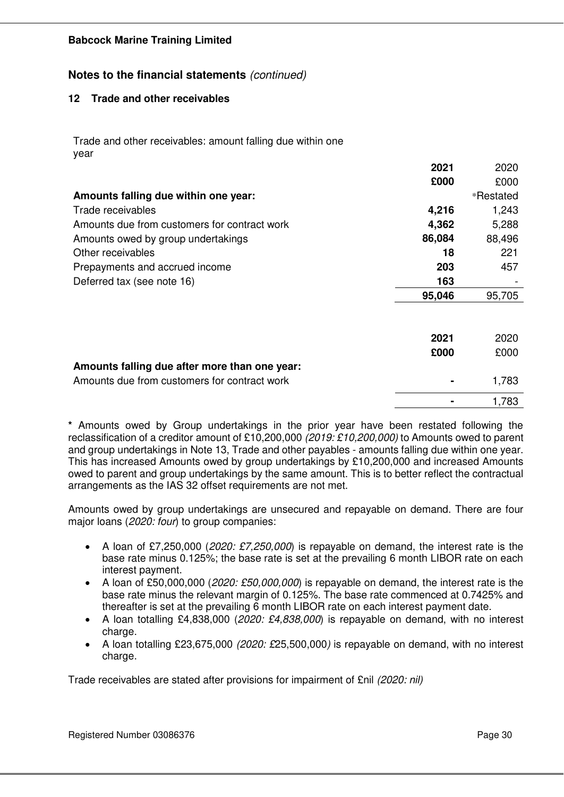## **Notes to the financial statements** *(continued)*

## **12 Trade and other receivables**

Trade and other receivables: amount falling due within one year

|                                               | 2021   | 2020      |
|-----------------------------------------------|--------|-----------|
|                                               | £000   | £000      |
| Amounts falling due within one year:          |        | *Restated |
| Trade receivables                             | 4,216  | 1,243     |
| Amounts due from customers for contract work  | 4,362  | 5,288     |
| Amounts owed by group undertakings            | 86,084 | 88,496    |
| Other receivables                             | 18     | 221       |
| Prepayments and accrued income                | 203    | 457       |
| Deferred tax (see note 16)                    | 163    |           |
|                                               | 95,046 | 95,705    |
|                                               |        |           |
|                                               |        |           |
|                                               | 2021   | 2020      |
|                                               | £000   | £000      |
| Amounts falling due after more than one year: |        |           |
| Amounts due from customers for contract work  |        | 1,783     |
|                                               |        | 1,783     |

**\*** Amounts owed by Group undertakings in the prior year have been restated following the reclassification of a creditor amount of £10,200,000 *(2019: £10,200,000)* to Amounts owed to parent and group undertakings in Note 13, Trade and other payables - amounts falling due within one year. This has increased Amounts owed by group undertakings by £10,200,000 and increased Amounts owed to parent and group undertakings by the same amount. This is to better reflect the contractual arrangements as the IAS 32 offset requirements are not met.

Amounts owed by group undertakings are unsecured and repayable on demand. There are four major loans (*2020: four*) to group companies:

- A loan of £7,250,000 (*2020: £7,250,000*) is repayable on demand, the interest rate is the base rate minus 0.125%; the base rate is set at the prevailing 6 month LIBOR rate on each interest payment.
- A loan of £50,000,000 (*2020: £50,000,000*) is repayable on demand, the interest rate is the base rate minus the relevant margin of 0.125%. The base rate commenced at 0.7425% and thereafter is set at the prevailing 6 month LIBOR rate on each interest payment date.
- A loan totalling £4,838,000 (*2020: £4,838,000*) is repayable on demand, with no interest charge.
- A loan totalling £23,675,000 *(2020: £*25,500,000*)* is repayable on demand, with no interest charge.

Trade receivables are stated after provisions for impairment of £nil *(2020: nil)*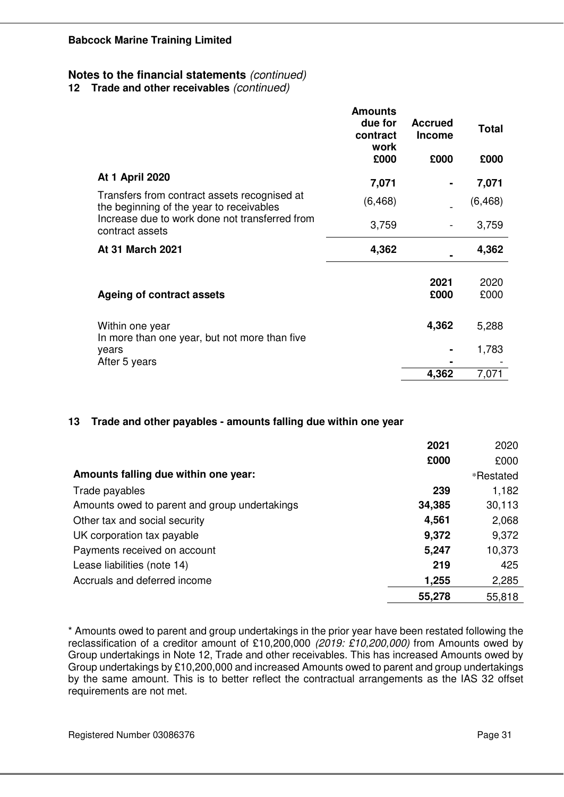**12 Trade and other receivables** *(continued)*

|                                                                                          | <b>Amounts</b><br>due for<br>contract<br>work | <b>Accrued</b><br><b>Income</b> | <b>Total</b> |
|------------------------------------------------------------------------------------------|-----------------------------------------------|---------------------------------|--------------|
|                                                                                          | £000                                          | £000                            | £000         |
| <b>At 1 April 2020</b>                                                                   | 7,071                                         |                                 | 7,071        |
| Transfers from contract assets recognised at<br>the beginning of the year to receivables | (6, 468)                                      |                                 | (6, 468)     |
| Increase due to work done not transferred from<br>contract assets                        | 3,759                                         |                                 | 3,759        |
| At 31 March 2021                                                                         | 4,362                                         |                                 | 4,362        |
| <b>Ageing of contract assets</b>                                                         |                                               | 2021<br>£000                    | 2020<br>£000 |
| Within one year<br>In more than one year, but not more than five                         |                                               | 4,362                           | 5,288        |
| years                                                                                    |                                               |                                 | 1,783        |
| After 5 years                                                                            |                                               | 4,362                           | 7,071        |

## **13 Trade and other payables - amounts falling due within one year**

|                                               | 2021   | 2020      |
|-----------------------------------------------|--------|-----------|
|                                               | £000   | £000      |
| Amounts falling due within one year:          |        | *Restated |
| Trade payables                                | 239    | 1,182     |
| Amounts owed to parent and group undertakings | 34,385 | 30,113    |
| Other tax and social security                 | 4,561  | 2,068     |
| UK corporation tax payable                    | 9,372  | 9,372     |
| Payments received on account                  | 5,247  | 10,373    |
| Lease liabilities (note 14)                   | 219    | 425       |
| Accruals and deferred income                  | 1,255  | 2,285     |
|                                               | 55,278 | 55,818    |

\* Amounts owed to parent and group undertakings in the prior year have been restated following the reclassification of a creditor amount of £10,200,000 *(2019: £10,200,000)* from Amounts owed by Group undertakings in Note 12, Trade and other receivables. This has increased Amounts owed by Group undertakings by £10,200,000 and increased Amounts owed to parent and group undertakings by the same amount. This is to better reflect the contractual arrangements as the IAS 32 offset requirements are not met.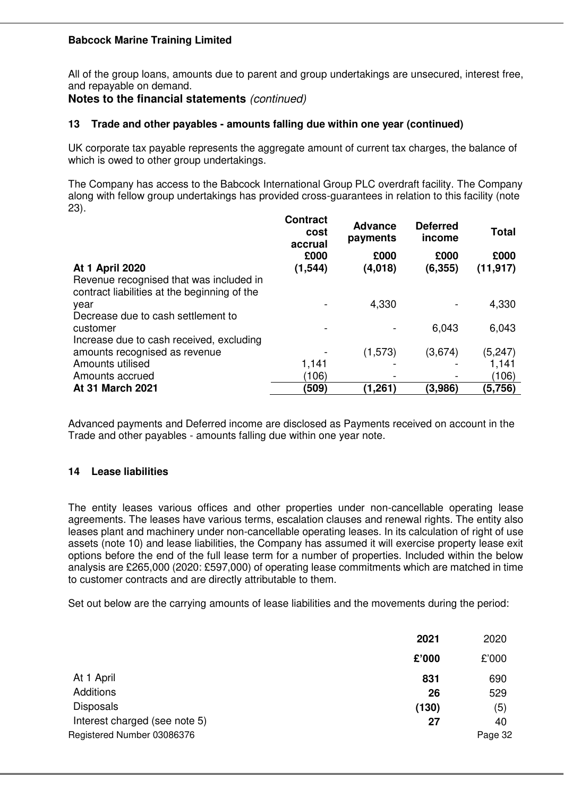All of the group loans, amounts due to parent and group undertakings are unsecured, interest free, and repayable on demand.

## **Notes to the financial statements** *(continued)*

### **13 Trade and other payables - amounts falling due within one year (continued)**

UK corporate tax payable represents the aggregate amount of current tax charges, the balance of which is owed to other group undertakings.

The Company has access to the Babcock International Group PLC overdraft facility. The Company along with fellow group undertakings has provided cross-guarantees in relation to this facility (note 23).

| cost  | payments            | income                    | <b>Total</b>                                   |
|-------|---------------------|---------------------------|------------------------------------------------|
| £000  | £000                | £000                      | £000                                           |
|       |                     |                           | (11, 917)                                      |
|       |                     |                           |                                                |
|       | 4,330               |                           | 4,330                                          |
|       |                     |                           |                                                |
|       |                     | 6,043                     | 6,043                                          |
|       |                     |                           |                                                |
|       | (1, 573)            | (3,674)                   | (5,247)                                        |
| 1,141 |                     |                           | 1,141                                          |
| (106) |                     |                           | (106)                                          |
| (509) | (1, 261)            | (3,986)                   | (5,756)                                        |
|       | accrual<br>(1, 544) | <b>Advance</b><br>(4,018) | <b>Contract</b><br><b>Deferred</b><br>(6, 355) |

Advanced payments and Deferred income are disclosed as Payments received on account in the Trade and other payables - amounts falling due within one year note.

## **14 Lease liabilities**

The entity leases various offices and other properties under non-cancellable operating lease agreements. The leases have various terms, escalation clauses and renewal rights. The entity also leases plant and machinery under non-cancellable operating leases. In its calculation of right of use assets (note 10) and lease liabilities, the Company has assumed it will exercise property lease exit options before the end of the full lease term for a number of properties. Included within the below analysis are £265,000 (2020: £597,000) of operating lease commitments which are matched in time to customer contracts and are directly attributable to them.

Set out below are the carrying amounts of lease liabilities and the movements during the period:

|                               | 2021  | 2020    |
|-------------------------------|-------|---------|
|                               | £'000 | £'000   |
| At 1 April                    | 831   | 690     |
| Additions                     | 26    | 529     |
| <b>Disposals</b>              | (130) | (5)     |
| Interest charged (see note 5) | 27    | 40      |
| Registered Number 03086376    |       | Page 32 |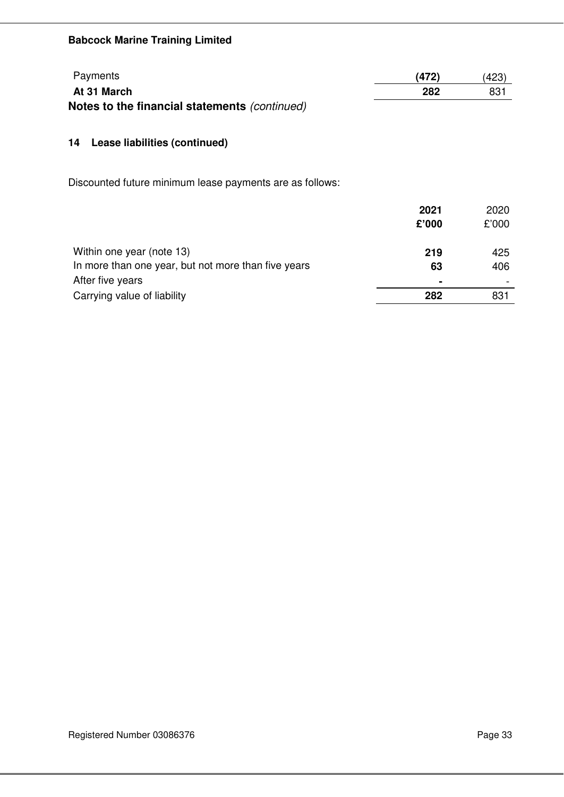| Payments                                      | (472) | (423) |
|-----------------------------------------------|-------|-------|
| At 31 March                                   | 282   | 831   |
| Notes to the financial statements (continued) |       |       |

# **14 Lease liabilities (continued)**

Discounted future minimum lease payments are as follows:

|                                                     | 2021           | 2020  |
|-----------------------------------------------------|----------------|-------|
|                                                     | £'000          | £'000 |
|                                                     |                |       |
| Within one year (note 13)                           | 219            | 425   |
| In more than one year, but not more than five years | 63             | 406   |
| After five years                                    | $\blacksquare$ |       |
| Carrying value of liability                         | 282            | 831   |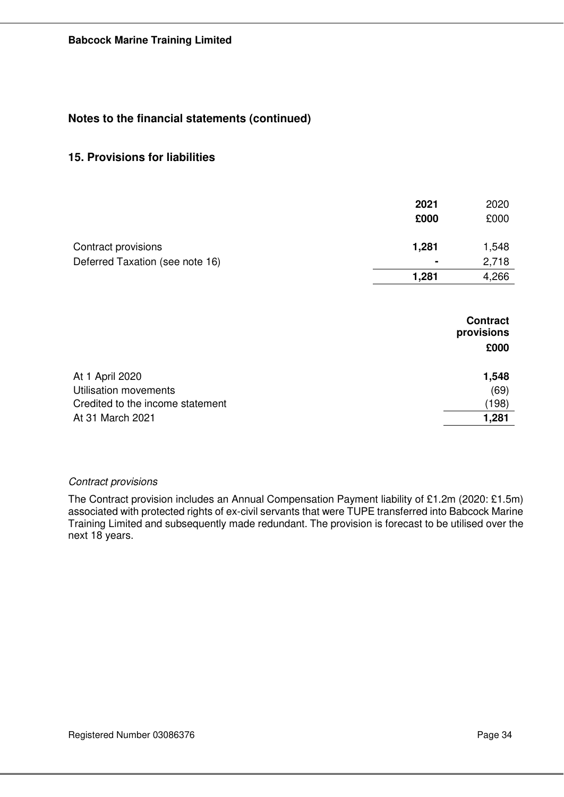## **15. Provisions for liabilities**

| 2021<br>£000   | 2020<br>£000 |
|----------------|--------------|
| 1,281          | 1,548        |
| $\blacksquare$ | 2,718        |
| 1,281          | 4,266        |
|                |              |

|                                  | <b>Contract</b><br>provisions |
|----------------------------------|-------------------------------|
|                                  | £000                          |
| At 1 April 2020                  | 1,548                         |
| Utilisation movements            | (69)                          |
| Credited to the income statement | (198)                         |
| At 31 March 2021                 | 1,281                         |

## *Contract provisions*

The Contract provision includes an Annual Compensation Payment liability of £1.2m (2020: £1.5m) associated with protected rights of ex-civil servants that were TUPE transferred into Babcock Marine Training Limited and subsequently made redundant. The provision is forecast to be utilised over the next 18 years.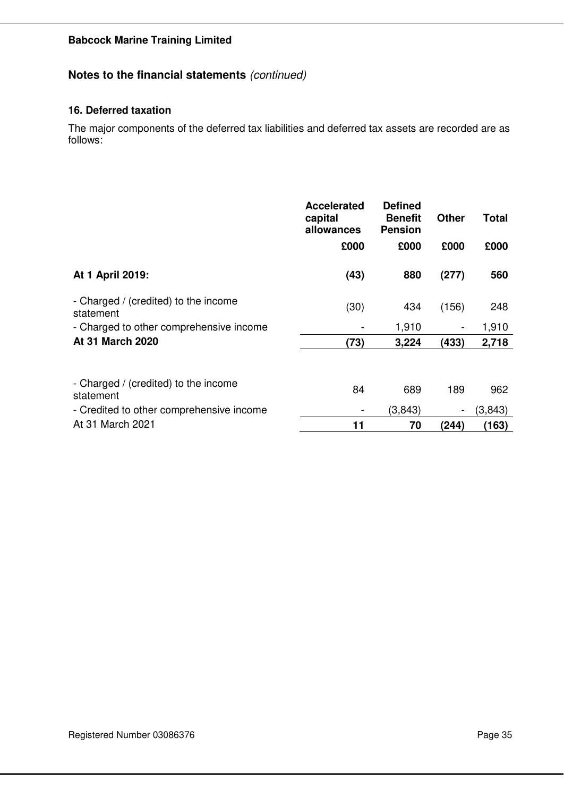# **Notes to the financial statements** *(continued)*

## **16. Deferred taxation**

The major components of the deferred tax liabilities and deferred tax assets are recorded are as follows:

|                                                   | <b>Accelerated</b><br>capital<br>allowances | <b>Defined</b><br><b>Benefit</b><br><b>Pension</b> | <b>Other</b> | Total   |
|---------------------------------------------------|---------------------------------------------|----------------------------------------------------|--------------|---------|
|                                                   | £000                                        | £000                                               | £000         | £000    |
| At 1 April 2019:                                  | (43)                                        | 880                                                | (277)        | 560     |
| - Charged / (credited) to the income<br>statement | (30)                                        | 434                                                | (156)        | 248     |
| - Charged to other comprehensive income           |                                             | 1,910                                              | -            | 1,910   |
| At 31 March 2020                                  | (73)                                        | 3,224                                              | (433)        | 2,718   |
| - Charged / (credited) to the income              |                                             |                                                    |              |         |
| statement                                         | 84                                          | 689                                                | 189          | 962     |
| - Credited to other comprehensive income          |                                             | (3,843)                                            | -            | (3,843) |
| At 31 March 2021                                  | 11                                          | 70                                                 | (244)        | (163)   |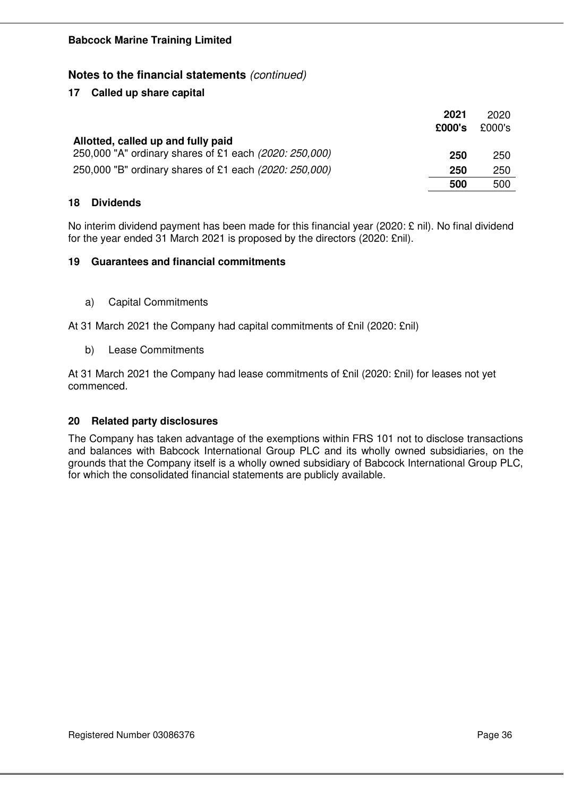## **17 Called up share capital**

|                                                        | 2021<br>£000's | 2020<br>£000's |
|--------------------------------------------------------|----------------|----------------|
| Allotted, called up and fully paid                     |                |                |
| 250,000 "A" ordinary shares of £1 each (2020: 250,000) | 250            | 250            |
| 250,000 "B" ordinary shares of £1 each (2020: 250,000) | 250            | 250            |
|                                                        | 500            | 500            |

## **18 Dividends**

No interim dividend payment has been made for this financial year (2020: £ nil). No final dividend for the year ended 31 March 2021 is proposed by the directors (2020: £nil).

## **19 Guarantees and financial commitments**

a) Capital Commitments

At 31 March 2021 the Company had capital commitments of £nil (2020: £nil)

b) Lease Commitments

At 31 March 2021 the Company had lease commitments of £nil (2020: £nil) for leases not yet commenced.

## **20 Related party disclosures**

The Company has taken advantage of the exemptions within FRS 101 not to disclose transactions and balances with Babcock International Group PLC and its wholly owned subsidiaries, on the grounds that the Company itself is a wholly owned subsidiary of Babcock International Group PLC, for which the consolidated financial statements are publicly available.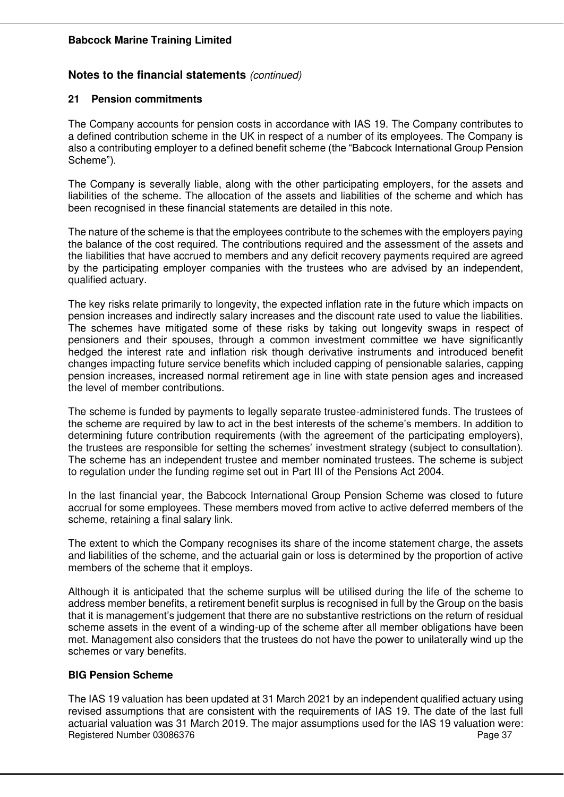## **Notes to the financial statements** *(continued)*

## **21 Pension commitments**

The Company accounts for pension costs in accordance with IAS 19. The Company contributes to a defined contribution scheme in the UK in respect of a number of its employees. The Company is also a contributing employer to a defined benefit scheme (the "Babcock International Group Pension Scheme").

The Company is severally liable, along with the other participating employers, for the assets and liabilities of the scheme. The allocation of the assets and liabilities of the scheme and which has been recognised in these financial statements are detailed in this note.

The nature of the scheme is that the employees contribute to the schemes with the employers paying the balance of the cost required. The contributions required and the assessment of the assets and the liabilities that have accrued to members and any deficit recovery payments required are agreed by the participating employer companies with the trustees who are advised by an independent, qualified actuary.

The key risks relate primarily to longevity, the expected inflation rate in the future which impacts on pension increases and indirectly salary increases and the discount rate used to value the liabilities. The schemes have mitigated some of these risks by taking out longevity swaps in respect of pensioners and their spouses, through a common investment committee we have significantly hedged the interest rate and inflation risk though derivative instruments and introduced benefit changes impacting future service benefits which included capping of pensionable salaries, capping pension increases, increased normal retirement age in line with state pension ages and increased the level of member contributions.

The scheme is funded by payments to legally separate trustee-administered funds. The trustees of the scheme are required by law to act in the best interests of the scheme's members. In addition to determining future contribution requirements (with the agreement of the participating employers), the trustees are responsible for setting the schemes' investment strategy (subject to consultation). The scheme has an independent trustee and member nominated trustees. The scheme is subject to regulation under the funding regime set out in Part III of the Pensions Act 2004.

In the last financial year, the Babcock International Group Pension Scheme was closed to future accrual for some employees. These members moved from active to active deferred members of the scheme, retaining a final salary link.

The extent to which the Company recognises its share of the income statement charge, the assets and liabilities of the scheme, and the actuarial gain or loss is determined by the proportion of active members of the scheme that it employs.

Although it is anticipated that the scheme surplus will be utilised during the life of the scheme to address member benefits, a retirement benefit surplus is recognised in full by the Group on the basis that it is management's judgement that there are no substantive restrictions on the return of residual scheme assets in the event of a winding-up of the scheme after all member obligations have been met. Management also considers that the trustees do not have the power to unilaterally wind up the schemes or vary benefits.

## **BIG Pension Scheme**

Registered Number 03086376 Page 37 The IAS 19 valuation has been updated at 31 March 2021 by an independent qualified actuary using revised assumptions that are consistent with the requirements of IAS 19. The date of the last full actuarial valuation was 31 March 2019. The major assumptions used for the IAS 19 valuation were: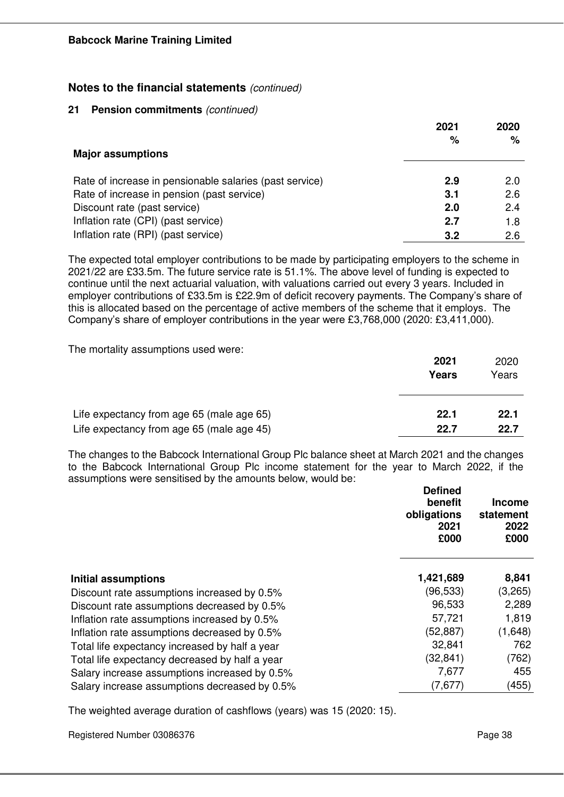#### **21 Pension commitments** *(continued)*

|                                                         | 2021 | 2020 |
|---------------------------------------------------------|------|------|
| <b>Major assumptions</b>                                | $\%$ | %    |
| Rate of increase in pensionable salaries (past service) | 2.9  | 2.0  |
| Rate of increase in pension (past service)              | 3.1  | 2.6  |
| Discount rate (past service)                            | 2.0  | 2.4  |
| Inflation rate (CPI) (past service)                     | 2.7  | 1.8  |
| Inflation rate (RPI) (past service)                     | 3.2  | 2.6  |

The expected total employer contributions to be made by participating employers to the scheme in 2021/22 are £33.5m. The future service rate is 51.1%. The above level of funding is expected to continue until the next actuarial valuation, with valuations carried out every 3 years. Included in employer contributions of £33.5m is £22.9m of deficit recovery payments. The Company's share of this is allocated based on the percentage of active members of the scheme that it employs. The Company's share of employer contributions in the year were £3,768,000 (2020: £3,411,000).

The mortality assumptions used were:

|                                           | 2021<br>Years | 2020<br>Years |
|-------------------------------------------|---------------|---------------|
| Life expectancy from age 65 (male age 65) | 22.1          | 22.1          |
| Life expectancy from age 65 (male age 45) | 22.7          | 22.7          |

The changes to the Babcock International Group Plc balance sheet at March 2021 and the changes to the Babcock International Group Plc income statement for the year to March 2022, if the assumptions were sensitised by the amounts below, would be:

|                                                | <b>Defined</b><br>benefit<br>obligations<br>2021<br>£000 | <b>Income</b><br>statement<br>2022<br>£000 |
|------------------------------------------------|----------------------------------------------------------|--------------------------------------------|
| Initial assumptions                            | 1,421,689                                                | 8,841                                      |
| Discount rate assumptions increased by 0.5%    | (96,533)                                                 | (3,265)                                    |
| Discount rate assumptions decreased by 0.5%    | 96,533                                                   | 2,289                                      |
| Inflation rate assumptions increased by 0.5%   | 57,721                                                   | 1,819                                      |
| Inflation rate assumptions decreased by 0.5%   | (52, 887)                                                | (1,648)                                    |
| Total life expectancy increased by half a year | 32,841                                                   | 762                                        |
| Total life expectancy decreased by half a year | (32,841)                                                 | (762)                                      |
| Salary increase assumptions increased by 0.5%  | 7,677                                                    | 455                                        |
| Salary increase assumptions decreased by 0.5%  | (7,677)                                                  | (455)                                      |
|                                                |                                                          |                                            |

The weighted average duration of cashflows (years) was 15 (2020: 15).

Registered Number 03086376 Page 38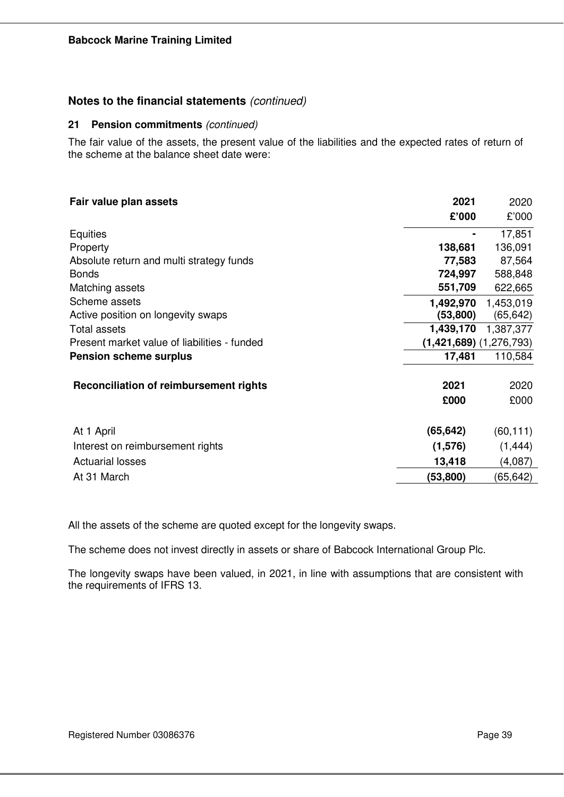### **21 Pension commitments** *(continued)*

The fair value of the assets, the present value of the liabilities and the expected rates of return of the scheme at the balance sheet date were:

| Fair value plan assets                        | 2021                        | 2020      |
|-----------------------------------------------|-----------------------------|-----------|
|                                               | £'000                       | £'000     |
| Equities                                      |                             | 17,851    |
| Property                                      | 138,681                     | 136,091   |
| Absolute return and multi strategy funds      | 77,583                      | 87,564    |
| <b>Bonds</b>                                  | 724,997                     | 588,848   |
| Matching assets                               | 551,709                     | 622,665   |
| Scheme assets                                 | 1,492,970                   | 1,453,019 |
| Active position on longevity swaps            | (53, 800)                   | (65, 642) |
| <b>Total assets</b>                           | 1,439,170                   | 1,387,377 |
| Present market value of liabilities - funded  | $(1,421,689)$ $(1,276,793)$ |           |
| <b>Pension scheme surplus</b>                 | 17,481                      | 110,584   |
| <b>Reconciliation of reimbursement rights</b> | 2021                        | 2020      |
|                                               | £000                        | £000      |
| At 1 April                                    | (65, 642)                   | (60, 111) |
| Interest on reimbursement rights              | (1,576)                     | (1, 444)  |
| <b>Actuarial losses</b>                       | 13,418                      | (4,087)   |
| At 31 March                                   | (53,800)                    | (65,642)  |

All the assets of the scheme are quoted except for the longevity swaps.

The scheme does not invest directly in assets or share of Babcock International Group Plc.

The longevity swaps have been valued, in 2021, in line with assumptions that are consistent with the requirements of IFRS 13.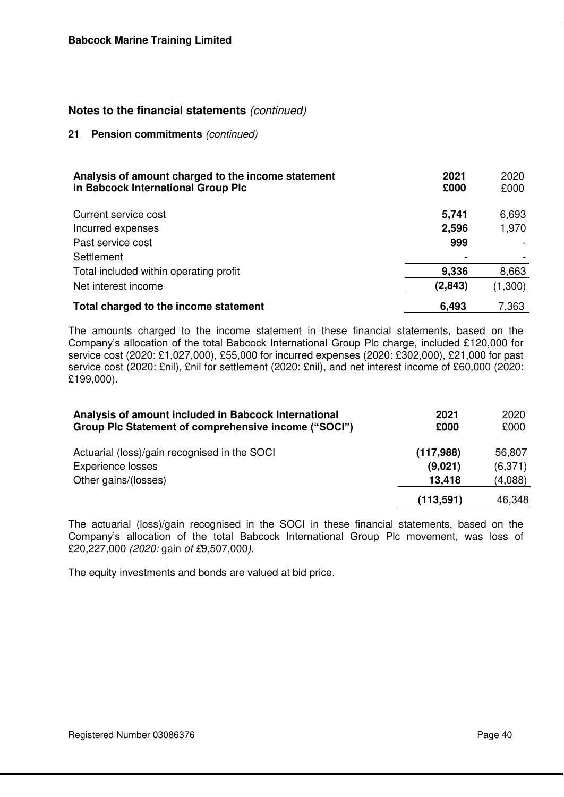#### **21 Pension commitments** *(continued)*

| Analysis of amount charged to the income statement<br>in Babcock International Group Plc | 2021<br>£000 | 2020<br>£000 |
|------------------------------------------------------------------------------------------|--------------|--------------|
| Current service cost                                                                     | 5,741        | 6,693        |
| Incurred expenses                                                                        | 2,596        | 1,970        |
| Past service cost                                                                        | 999          |              |
| Settlement                                                                               |              |              |
| Total included within operating profit                                                   | 9,336        | 8,663        |
| Net interest income                                                                      | (2,843)      | (1,300)      |
| Total charged to the income statement                                                    | 6.493        | 7,363        |

The amounts charged to the income statement in these financial statements, based on the Company's allocation of the total Babcock International Group Plc charge, included £120,000 for service cost (2020: £1,027,000), £55,000 for incurred expenses (2020: £302,000), £21,000 for past service cost (2020: £nil), £nil for settlement (2020: £nil), and net interest income of £60,000 (2020: £199,000).

| Analysis of amount included in Babcock International<br>Group Plc Statement of comprehensive income ("SOCI") | 2021<br>£000 | 2020<br>£000 |
|--------------------------------------------------------------------------------------------------------------|--------------|--------------|
| Actuarial (loss)/gain recognised in the SOCI                                                                 | (117,988)    | 56,807       |
| <b>Experience losses</b>                                                                                     | (9,021)      | (6,371)      |
| Other gains/(losses)                                                                                         | 13,418       | (4,088)      |
|                                                                                                              | (113, 591)   | 46,348       |

The actuarial (loss)/gain recognised in the SOCI in these financial statements, based on the Company's allocation of the total Babcock International Group Plc movement, was loss of £20,227,000 *(2020:* gain *of £*9,507,000*).*

The equity investments and bonds are valued at bid price.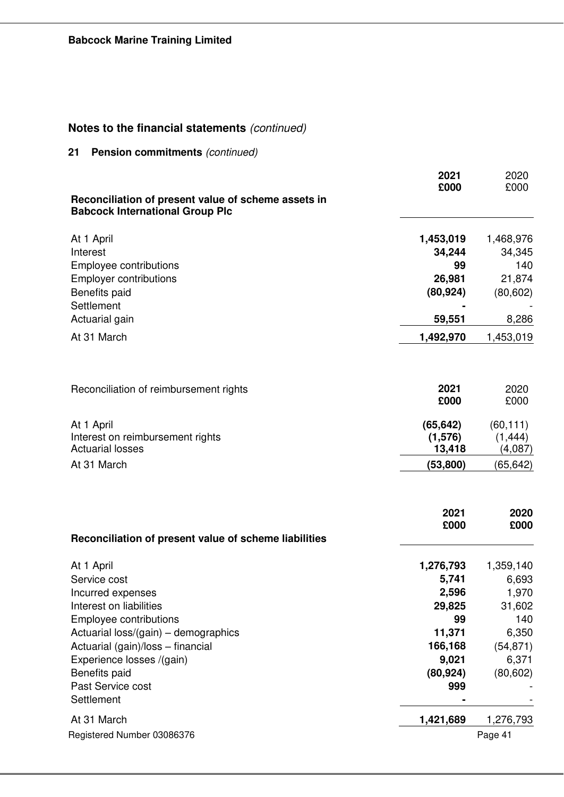**21 Pension commitments** *(continued)*

| Reconciliation of present value of scheme assets in            | 2021<br>£000        | 2020<br>£000        |
|----------------------------------------------------------------|---------------------|---------------------|
| <b>Babcock International Group Plc</b>                         |                     |                     |
| At 1 April                                                     | 1,453,019           | 1,468,976           |
| Interest                                                       | 34,244              | 34,345              |
| Employee contributions                                         | 99                  | 140                 |
| <b>Employer contributions</b><br>Benefits paid                 | 26,981<br>(80, 924) | 21,874<br>(80, 602) |
| Settlement                                                     |                     |                     |
| Actuarial gain                                                 | 59,551              | 8,286               |
| At 31 March                                                    | 1,492,970           | 1,453,019           |
|                                                                |                     |                     |
| Reconciliation of reimbursement rights                         | 2021                | 2020                |
|                                                                | £000                | £000                |
| At 1 April                                                     | (65, 642)           | (60, 111)           |
| Interest on reimbursement rights                               | (1,576)             | (1, 444)            |
| <b>Actuarial losses</b>                                        | 13,418              | (4,087)             |
| At 31 March                                                    | (53, 800)           | (65, 642)           |
|                                                                |                     |                     |
|                                                                | 2021<br>£000        | 2020<br>£000        |
| Reconciliation of present value of scheme liabilities          |                     |                     |
| At 1 April                                                     | 1,276,793           | 1,359,140           |
| Service cost                                                   | 5,741               | 6,693               |
| Incurred expenses                                              | 2,596               | 1,970               |
| Interest on liabilities                                        | 29,825              | 31,602              |
| Employee contributions<br>Actuarial loss/(gain) – demographics | 99<br>11,371        | 140<br>6,350        |
| Actuarial (gain)/loss - financial                              | 166,168             | (54, 871)           |
| Experience losses /(gain)                                      | 9,021               | 6,371               |
| Benefits paid                                                  | (80, 924)           | (80, 602)           |
| Past Service cost                                              | 999                 |                     |
| Settlement                                                     |                     |                     |
| At 31 March                                                    | 1,421,689           | 1,276,793           |
| Registered Number 03086376                                     |                     | Page 41             |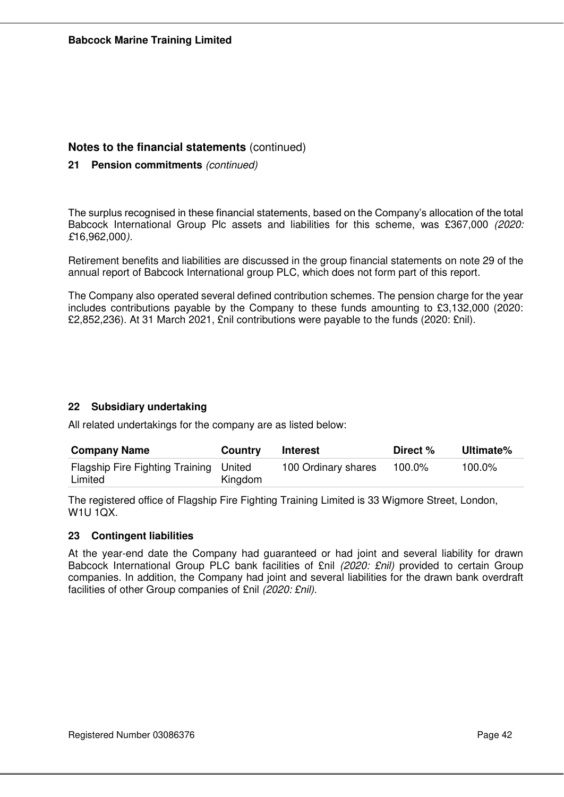## **21 Pension commitments** *(continued)*

The surplus recognised in these financial statements, based on the Company's allocation of the total Babcock International Group Plc assets and liabilities for this scheme, was £367,000 *(2020: £*16,962,000*).*

Retirement benefits and liabilities are discussed in the group financial statements on note 29 of the annual report of Babcock International group PLC, which does not form part of this report.

The Company also operated several defined contribution schemes. The pension charge for the year includes contributions payable by the Company to these funds amounting to £3,132,000 (2020: £2,852,236). At 31 March 2021, £nil contributions were payable to the funds (2020: £nil).

## **22 Subsidiary undertaking**

All related undertakings for the company are as listed below:

| <b>Company Name</b>                               | <b>Country</b> | <b>Interest</b>     | Direct % | Ultimate% |
|---------------------------------------------------|----------------|---------------------|----------|-----------|
| Flagship Fire Fighting Training United<br>Limited | Kingdom        | 100 Ordinary shares | 100.0%   | 100.0%    |

The registered office of Flagship Fire Fighting Training Limited is 33 Wigmore Street, London, W1U 1QX.

## **23 Contingent liabilities**

At the year-end date the Company had guaranteed or had joint and several liability for drawn Babcock International Group PLC bank facilities of £nil *(2020: £nil)* provided to certain Group companies. In addition, the Company had joint and several liabilities for the drawn bank overdraft facilities of other Group companies of £nil *(2020: £nil).*